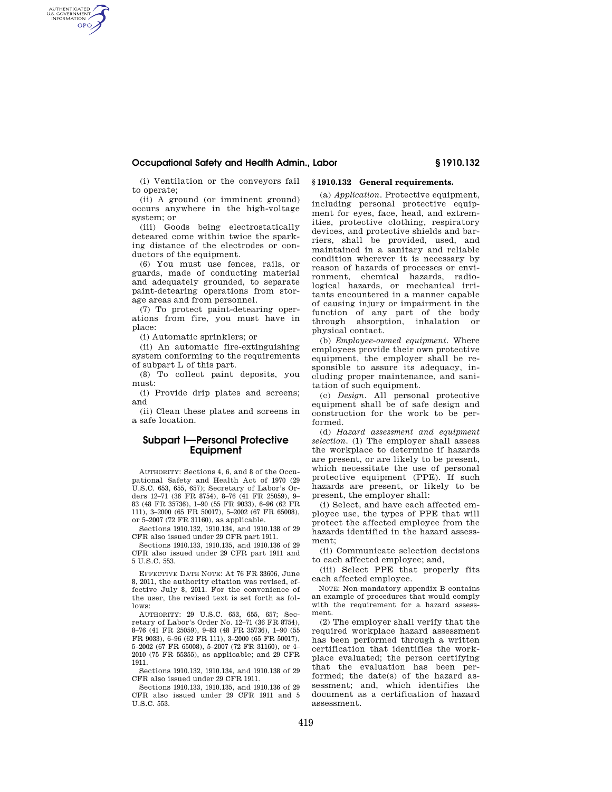(i) Ventilation or the conveyors fail to operate;

AUTHENTICATED<br>U.S. GOVERNMENT<br>INFORMATION **GPO** 

> (ii) A ground (or imminent ground) occurs anywhere in the high-voltage system; or

> (iii) Goods being electrostatically deteared come within twice the sparking distance of the electrodes or conductors of the equipment.

> (6) You must use fences, rails, or guards, made of conducting material and adequately grounded, to separate paint-detearing operations from storage areas and from personnel.

> (7) To protect paint-detearing operations from fire, you must have in place:

(i) Automatic sprinklers; or

(ii) An automatic fire-extinguishing system conforming to the requirements of subpart L of this part.

(8) To collect paint deposits, you must:

(i) Provide drip plates and screens; and

(ii) Clean these plates and screens in a safe location.

# **Subpart I—Personal Protective Equipment**

AUTHORITY: Sections 4, 6, and 8 of the Occupational Safety and Health Act of 1970 (29 U.S.C. 653, 655, 657); Secretary of Labor's Orders 12–71 (36 FR 8754), 8–76 (41 FR 25059), 9– 83 (48 FR 35736), 1–90 (55 FR 9033), 6–96 (62 FR 111), 3–2000 (65 FR 50017), 5–2002 (67 FR 65008), or 5–2007 (72 FR 31160), as applicable.

Sections 1910.132, 1910.134, and 1910.138 of 29 CFR also issued under 29 CFR part 1911.

Sections 1910.133, 1910.135, and 1910.136 of 29 CFR also issued under 29 CFR part 1911 and 5 U.S.C. 553.

EFFECTIVE DATE NOTE: At 76 FR 33606, June 8, 2011, the authority citation was revised, effective July 8, 2011. For the convenience of the user, the revised text is set forth as follows:

AUTHORITY: 29 U.S.C. 653, 655, 657; Secretary of Labor's Order No. 12–71 (36 FR 8754), 8–76 (41 FR 25059), 9–83 (48 FR 35736), 1–90 (55 FR 9033), 6–96 (62 FR 111), 3–2000 (65 FR 50017), 5–2002 (67 FR 65008), 5–2007 (72 FR 31160), or 4– 2010 (75 FR 55355), as applicable; and 29 CFR 1911.

Sections 1910.132, 1910.134, and 1910.138 of 29 CFR also issued under 29 CFR 1911.

Sections 1910.133, 1910.135, and 1910.136 of 29 CFR also issued under 29 CFR 1911 and 5 U.S.C. 553.

## **§ 1910.132 General requirements.**

(a) *Application.* Protective equipment, including personal protective equipment for eyes, face, head, and extremities, protective clothing, respiratory devices, and protective shields and barriers, shall be provided, used, and maintained in a sanitary and reliable condition wherever it is necessary by reason of hazards of processes or environment, chemical hazards, radiological hazards, or mechanical irritants encountered in a manner capable of causing injury or impairment in the function of any part of the body through absorption, inhalation or physical contact.

(b) *Employee-owned equipment.* Where employees provide their own protective equipment, the employer shall be responsible to assure its adequacy, including proper maintenance, and sanitation of such equipment.

(c) *Design.* All personal protective equipment shall be of safe design and construction for the work to be performed.

(d) *Hazard assessment and equipment selection.* (1) The employer shall assess the workplace to determine if hazards are present, or are likely to be present, which necessitate the use of personal protective equipment (PPE). If such hazards are present, or likely to be present, the employer shall:

(i) Select, and have each affected employee use, the types of PPE that will protect the affected employee from the hazards identified in the hazard assessment;

(ii) Communicate selection decisions to each affected employee; and,

(iii) Select PPE that properly fits each affected employee.

NOTE: Non-mandatory appendix B contains an example of procedures that would comply with the requirement for a hazard assessment.

(2) The employer shall verify that the required workplace hazard assessment has been performed through a written certification that identifies the workplace evaluated; the person certifying that the evaluation has been performed; the date(s) of the hazard assessment; and, which identifies the document as a certification of hazard assessment.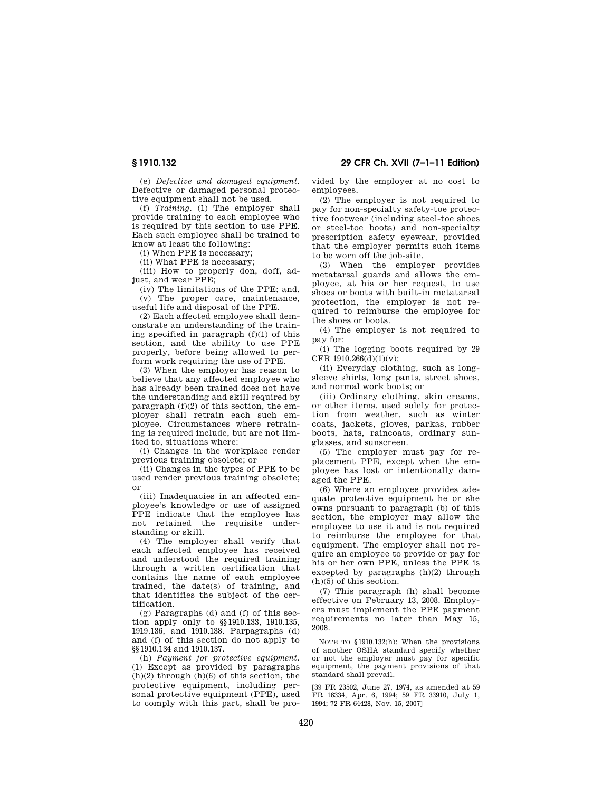(e) *Defective and damaged equipment.*  Defective or damaged personal protective equipment shall not be used.

(f) *Training.* (1) The employer shall provide training to each employee who is required by this section to use PPE. Each such employee shall be trained to know at least the following:

(i) When PPE is necessary;

(ii) What PPE is necessary;

(iii) How to properly don, doff, adjust, and wear PPE;

(iv) The limitations of the PPE; and, (v) The proper care, maintenance, useful life and disposal of the PPE.

(2) Each affected employee shall demonstrate an understanding of the training specified in paragraph  $(f)(1)$  of this section, and the ability to use PPE properly, before being allowed to perform work requiring the use of PPE.

(3) When the employer has reason to believe that any affected employee who has already been trained does not have the understanding and skill required by paragraph (f)(2) of this section, the employer shall retrain each such employee. Circumstances where retraining is required include, but are not limited to, situations where:

(i) Changes in the workplace render previous training obsolete; or

(ii) Changes in the types of PPE to be used render previous training obsolete; or

(iii) Inadequacies in an affected employee's knowledge or use of assigned PPE indicate that the employee has not retained the requisite understanding or skill.

(4) The employer shall verify that each affected employee has received and understood the required training through a written certification that contains the name of each employee trained, the date(s) of training, and that identifies the subject of the certification.

(g) Paragraphs (d) and (f) of this section apply only to §§1910.133, 1910.135, 1919.136, and 1910.138. Parpagraphs (d) and (f) of this section do not apply to §§1910.134 and 1910.137.

(h) *Payment for protective equipment.*  (1) Except as provided by paragraphs  $(h)(2)$  through  $(h)(6)$  of this section, the protective equipment, including personal protective equipment (PPE), used to comply with this part, shall be provided by the employer at no cost to employees.

(2) The employer is not required to pay for non-specialty safety-toe protective footwear (including steel-toe shoes or steel-toe boots) and non-specialty prescription safety eyewear, provided that the employer permits such items to be worn off the job-site.

(3) When the employer provides metatarsal guards and allows the employee, at his or her request, to use shoes or boots with built-in metatarsal protection, the employer is not required to reimburse the employee for the shoes or boots.

(4) The employer is not required to pay for:

(i) The logging boots required by 29 CFR 1910.266(d)(1)(v);

(ii) Everyday clothing, such as longsleeve shirts, long pants, street shoes, and normal work boots; or

(iii) Ordinary clothing, skin creams, or other items, used solely for protection from weather, such as winter coats, jackets, gloves, parkas, rubber boots, hats, raincoats, ordinary sunglasses, and sunscreen.

(5) The employer must pay for replacement PPE, except when the employee has lost or intentionally damaged the PPE.

(6) Where an employee provides adequate protective equipment he or she owns pursuant to paragraph (b) of this section, the employer may allow the employee to use it and is not required to reimburse the employee for that equipment. The employer shall not require an employee to provide or pay for his or her own PPE, unless the PPE is excepted by paragraphs (h)(2) through (h)(5) of this section.

(7) This paragraph (h) shall become effective on February 13, 2008. Employers must implement the PPE payment requirements no later than May 15, 2008.

NOTE TO §1910.132(h): When the provisions of another OSHA standard specify whether or not the employer must pay for specific equipment, the payment provisions of that standard shall prevail.

[39 FR 23502, June 27, 1974, as amended at 59 FR 16334, Apr. 6, 1994; 59 FR 33910, July 1, 1994; 72 FR 64428, Nov. 15, 2007]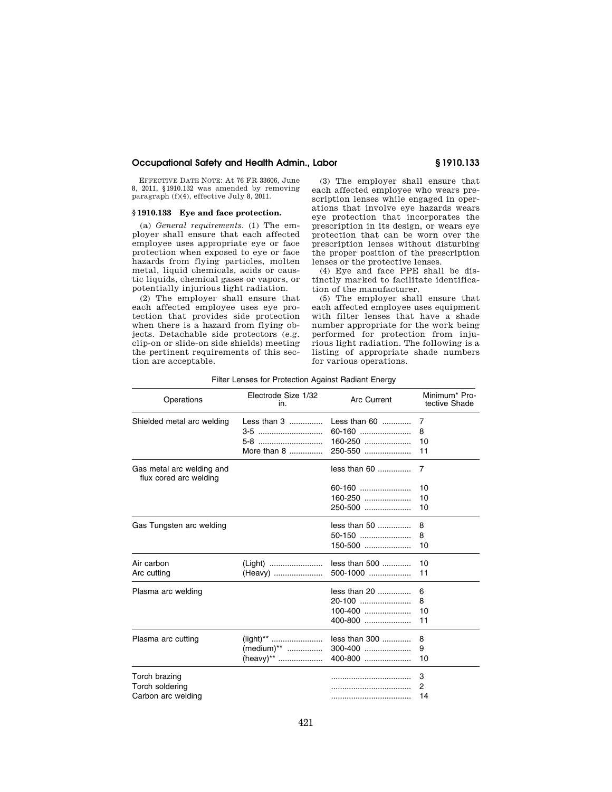EFFECTIVE DATE NOTE: At 76 FR 33606, June 8, 2011, §1910.132 was amended by removing paragraph (f)(4), effective July 8, 2011.

## **§ 1910.133 Eye and face protection.**

(a) *General requirements.* (1) The employer shall ensure that each affected employee uses appropriate eye or face protection when exposed to eye or face hazards from flying particles, molten metal, liquid chemicals, acids or caustic liquids, chemical gases or vapors, or potentially injurious light radiation.

(2) The employer shall ensure that each affected employee uses eye protection that provides side protection when there is a hazard from flying objects. Detachable side protectors (e.g. clip-on or slide-on side shields) meeting the pertinent requirements of this section are acceptable.

(3) The employer shall ensure that each affected employee who wears prescription lenses while engaged in operations that involve eye hazards wears eye protection that incorporates the prescription in its design, or wears eye protection that can be worn over the prescription lenses without disturbing the proper position of the prescription lenses or the protective lenses.

(4) Eye and face PPE shall be distinctly marked to facilitate identification of the manufacturer.

(5) The employer shall ensure that each affected employee uses equipment with filter lenses that have a shade number appropriate for the work being performed for protection from injurious light radiation. The following is a listing of appropriate shade numbers for various operations.

Filter Lenses for Protection Against Radiant Energy

| Electrode Size 1/32<br>Operations<br>in.            |             | <b>Arc Current</b> | Minimum* Pro-<br>tective Shade |
|-----------------------------------------------------|-------------|--------------------|--------------------------------|
| Shielded metal arc welding                          | Less than 3 | Less than 60       | 7                              |
|                                                     | $3-5$       | 60-160             | 8                              |
|                                                     | 5-8         | 160-250            | 10                             |
|                                                     | More than 8 | 250-550            | 11                             |
| Gas metal arc welding and<br>flux cored arc welding |             | less than 60       | 7                              |
|                                                     |             | $60-160$           | 10                             |
|                                                     |             | $160-250$          | 10                             |
|                                                     |             | 250-500            | 10                             |
| Gas Tungsten arc welding                            |             | less than 50       | 8                              |
|                                                     |             | 50-150             | 8                              |
|                                                     |             | 150-500            | 10                             |
| Air carbon                                          | (Light)     | less than 500      | 10                             |
| Arc cutting                                         | (Heavy)     | 500-1000           | 11                             |
| Plasma arc welding                                  |             | less than 20       | 6                              |
|                                                     |             | $20-100$           | 8                              |
|                                                     |             | 100-400            | 10                             |
|                                                     |             | 400-800            | 11                             |
| Plasma arc cutting                                  |             | less than 300      | 8                              |
|                                                     | (medium)**  | 300-400            | 9                              |
|                                                     | (heavy)**   | 400-800            | 10                             |
| Torch brazing                                       |             |                    | 3                              |
| Torch soldering                                     |             |                    | 2                              |
| Carbon arc welding                                  |             |                    | 14                             |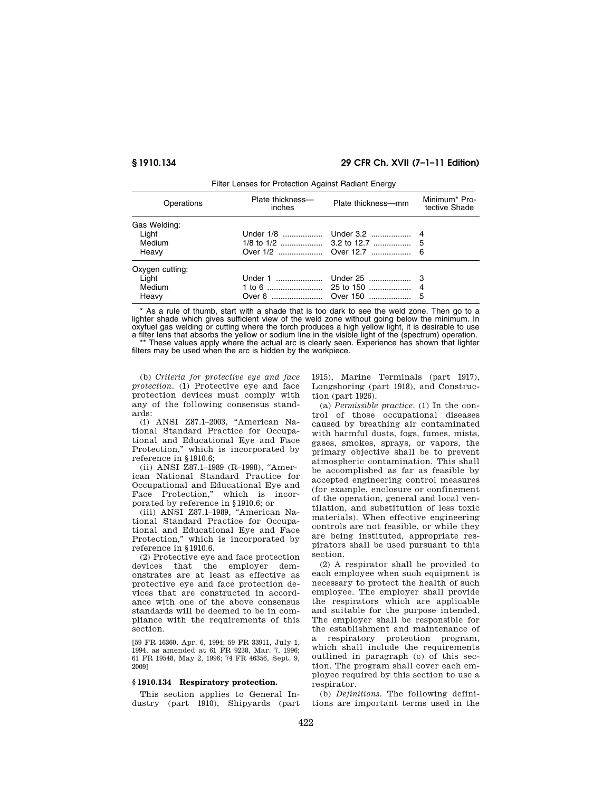# **§ 1910.134 29 CFR Ch. XVII (7–1–11 Edition)**

| Operations      | Plate thickness-<br>Plate thickness-mm<br>inches |                                                               | Minimum* Pro-<br>tective Shade |
|-----------------|--------------------------------------------------|---------------------------------------------------------------|--------------------------------|
| Gas Welding:    |                                                  |                                                               |                                |
| Light           |                                                  |                                                               |                                |
| Medium          |                                                  |                                                               | 5                              |
| Heavy           |                                                  |                                                               |                                |
| Oxygen cutting: |                                                  |                                                               |                                |
| Light           |                                                  |                                                               |                                |
| Medium          |                                                  | 1 to 6 $\ldots$ $\ldots$ 25 to 150 $\ldots$ $\ldots$ $\ldots$ |                                |
| Heavy           |                                                  |                                                               | 5                              |

Filter Lenses for Protection Against Radiant Energy

\* As a rule of thumb, start with a shade that is too dark to see the weld zone. Then go to a lighter shade which gives sufficient view of the weld zone without going below the minimum. In oxyfuel gas welding or cutting where the torch produces a high yellow light, it is desirable to use a filter lens that absorbs the yellow or sodium line in the visible light of the (spectrum) operation.

\*\* These values apply where the actual arc is clearly seen. Experience has shown that lighter filters may be used when the arc is hidden by the workpiece.

(b) *Criteria for protective eye and face protection.* (1) Protective eye and face protection devices must comply with any of the following consensus standards:

(i) ANSI Z87.1–2003, ''American National Standard Practice for Occupational and Educational Eye and Face Protection,'' which is incorporated by reference in §1910.6;

(ii) ANSI Z87.1–1989 (R–1998), ''American National Standard Practice for Occupational and Educational Eye and Face Protection,'' which is incorporated by reference in §1910.6; or

(iii) ANSI Z87.1–1989, ''American National Standard Practice for Occupational and Educational Eye and Face Protection,'' which is incorporated by reference in §1910.6.

(2) Protective eye and face protection devices that the employer demonstrates are at least as effective as protective eye and face protection devices that are constructed in accordance with one of the above consensus standards will be deemed to be in compliance with the requirements of this section.

[59 FR 16360, Apr. 6, 1994; 59 FR 33911, July 1, 1994, as amended at 61 FR 9238, Mar. 7, 1996; 61 FR 19548, May 2, 1996; 74 FR 46356, Sept. 9, 2009]

# **§ 1910.134 Respiratory protection.**

This section applies to General Industry (part 1910), Shipyards (part 1915), Marine Terminals (part 1917), Longshoring (part 1918), and Construction (part 1926).

(a) *Permissible practice.* (1) In the control of those occupational diseases caused by breathing air contaminated with harmful dusts, fogs, fumes, mists, gases, smokes, sprays, or vapors, the primary objective shall be to prevent atmospheric contamination. This shall be accomplished as far as feasible by accepted engineering control measures (for example, enclosure or confinement of the operation, general and local ventilation, and substitution of less toxic materials). When effective engineering controls are not feasible, or while they are being instituted, appropriate respirators shall be used pursuant to this section.

(2) A respirator shall be provided to each employee when such equipment is necessary to protect the health of such employee. The employer shall provide the respirators which are applicable and suitable for the purpose intended. The employer shall be responsible for the establishment and maintenance of a respiratory protection program, which shall include the requirements outlined in paragraph (c) of this section. The program shall cover each employee required by this section to use a respirator.

(b) *Definitions.* The following definitions are important terms used in the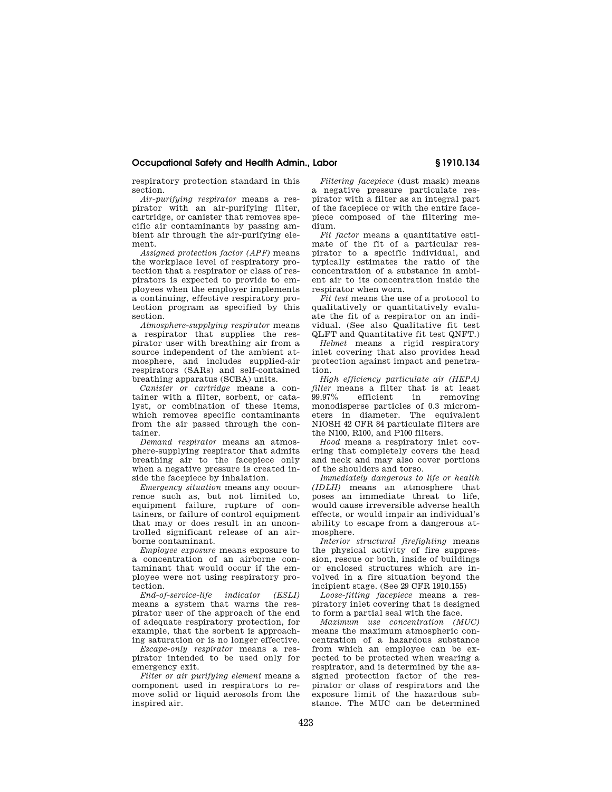respiratory protection standard in this section.

*Air-purifying respirator* means a respirator with an air-purifying filter, cartridge, or canister that removes specific air contaminants by passing ambient air through the air-purifying element.

*Assigned protection factor (APF)* means the workplace level of respiratory protection that a respirator or class of respirators is expected to provide to employees when the employer implements a continuing, effective respiratory protection program as specified by this section.

*Atmosphere-supplying respirator* means a respirator that supplies the respirator user with breathing air from a source independent of the ambient atmosphere, and includes supplied-air respirators (SARs) and self-contained breathing apparatus (SCBA) units.

*Canister or cartridge* means a container with a filter, sorbent, or catalyst, or combination of these items, which removes specific contaminants from the air passed through the container.

*Demand respirator* means an atmosphere-supplying respirator that admits breathing air to the facepiece only when a negative pressure is created inside the facepiece by inhalation.

*Emergency situation* means any occurrence such as, but not limited to, equipment failure, rupture of containers, or failure of control equipment that may or does result in an uncontrolled significant release of an airborne contaminant.

*Employee exposure* means exposure to a concentration of an airborne contaminant that would occur if the employee were not using respiratory protection.

*End-of-service-life indicator (ESLI)*  means a system that warns the respirator user of the approach of the end of adequate respiratory protection, for example, that the sorbent is approaching saturation or is no longer effective.

*Escape-only respirator* means a respirator intended to be used only for emergency exit.

*Filter or air purifying element* means a component used in respirators to remove solid or liquid aerosols from the inspired air.

*Filtering facepiece* (dust mask) means a negative pressure particulate respirator with a filter as an integral part of the facepiece or with the entire facepiece composed of the filtering medium.

*Fit factor* means a quantitative estimate of the fit of a particular respirator to a specific individual, and typically estimates the ratio of the concentration of a substance in ambient air to its concentration inside the respirator when worn.

*Fit test* means the use of a protocol to qualitatively or quantitatively evaluate the fit of a respirator on an individual. (See also Qualitative fit test QLFT and Quantitative fit test QNFT.)

*Helmet* means a rigid respiratory inlet covering that also provides head protection against impact and penetration.

*High efficiency particulate air (HEPA) filter* means a filter that is at least 99.97% efficient in removing efficient monodisperse particles of 0.3 micrometers in diameter. The equivalent NIOSH 42 CFR 84 particulate filters are the N100, R100, and P100 filters.

*Hood* means a respiratory inlet covering that completely covers the head and neck and may also cover portions of the shoulders and torso.

*Immediately dangerous to life or health (IDLH)* means an atmosphere that poses an immediate threat to life, would cause irreversible adverse health effects, or would impair an individual's ability to escape from a dangerous atmosphere.

*Interior structural firefighting* means the physical activity of fire suppression, rescue or both, inside of buildings or enclosed structures which are involved in a fire situation beyond the incipient stage. (See 29 CFR 1910.155)

*Loose-fitting facepiece* means a respiratory inlet covering that is designed to form a partial seal with the face.

*Maximum use concentration (MUC)*  means the maximum atmospheric concentration of a hazardous substance from which an employee can be expected to be protected when wearing a respirator, and is determined by the assigned protection factor of the respirator or class of respirators and the exposure limit of the hazardous substance. The MUC can be determined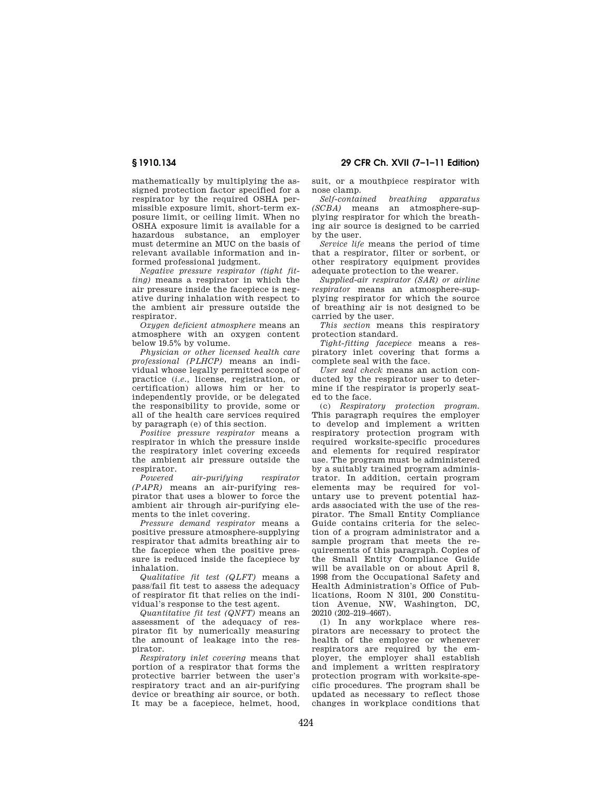mathematically by multiplying the assigned protection factor specified for a respirator by the required OSHA permissible exposure limit, short-term exposure limit, or ceiling limit. When no OSHA exposure limit is available for a hazardous substance, an employer must determine an MUC on the basis of relevant available information and informed professional judgment.

*Negative pressure respirator (tight fitting)* means a respirator in which the air pressure inside the facepiece is negative during inhalation with respect to the ambient air pressure outside the respirator.

*Oxygen deficient atmosphere* means an atmosphere with an oxygen content below 19.5% by volume.

*Physician or other licensed health care professional (PLHCP)* means an individual whose legally permitted scope of practice (*i.e.,* license, registration, or certification) allows him or her to independently provide, or be delegated the responsibility to provide, some or all of the health care services required by paragraph (e) of this section.

*Positive pressure respirator* means a respirator in which the pressure inside the respiratory inlet covering exceeds the ambient air pressure outside the respirator.<br>Powered

*Powered air-purifying respirator (PAPR)* means an air-purifying respirator that uses a blower to force the ambient air through air-purifying elements to the inlet covering.

*Pressure demand respirator* means a positive pressure atmosphere-supplying respirator that admits breathing air to the facepiece when the positive pressure is reduced inside the facepiece by inhalation.

*Qualitative fit test (QLFT)* means a pass/fail fit test to assess the adequacy of respirator fit that relies on the individual's response to the test agent.

*Quantitative fit test (QNFT)* means an assessment of the adequacy of respirator fit by numerically measuring the amount of leakage into the respirator.

*Respiratory inlet covering* means that portion of a respirator that forms the protective barrier between the user's respiratory tract and an air-purifying device or breathing air source, or both. It may be a facepiece, helmet, hood,

suit, or a mouthpiece respirator with nose clamp.<br>Self-contained

*Self-contained breathing apparatus (SCBA)* means an atmosphere-supplying respirator for which the breathing air source is designed to be carried by the user.

*Service life* means the period of time that a respirator, filter or sorbent, or other respiratory equipment provides adequate protection to the wearer.

*Supplied-air respirator (SAR) or airline respirator* means an atmosphere-supplying respirator for which the source of breathing air is not designed to be carried by the user.

*This section* means this respiratory protection standard.

*Tight-fitting facepiece* means a respiratory inlet covering that forms a complete seal with the face.

*User seal check* means an action conducted by the respirator user to determine if the respirator is properly seated to the face.

(c) *Respiratory protection program.*  This paragraph requires the employer to develop and implement a written respiratory protection program with required worksite-specific procedures and elements for required respirator use. The program must be administered by a suitably trained program administrator. In addition, certain program elements may be required for voluntary use to prevent potential hazards associated with the use of the respirator. The Small Entity Compliance Guide contains criteria for the selection of a program administrator and a sample program that meets the requirements of this paragraph. Copies of the Small Entity Compliance Guide will be available on or about April 8, 1998 from the Occupational Safety and Health Administration's Office of Publications, Room N 3101, 200 Constitution Avenue, NW, Washington, DC, 20210 (202–219–4667).

(1) In any workplace where respirators are necessary to protect the health of the employee or whenever respirators are required by the employer, the employer shall establish and implement a written respiratory protection program with worksite-specific procedures. The program shall be updated as necessary to reflect those changes in workplace conditions that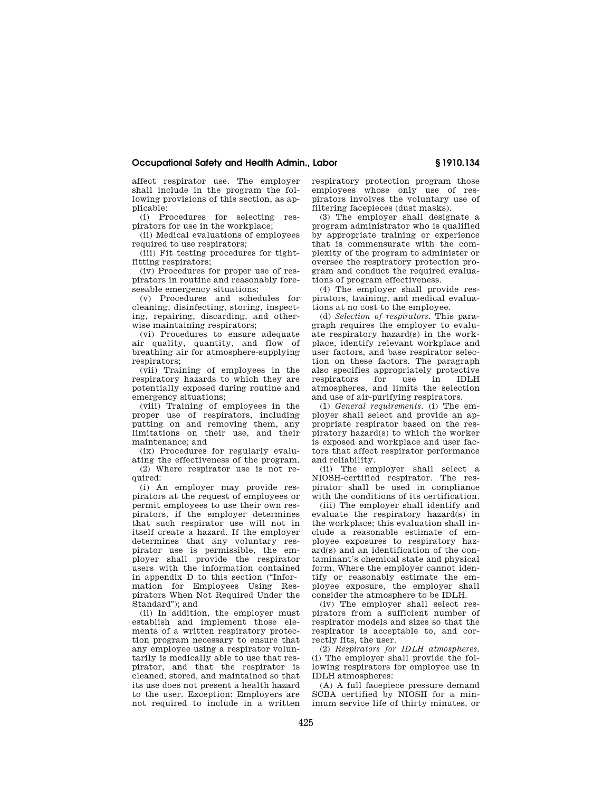affect respirator use. The employer shall include in the program the following provisions of this section, as applicable:

(i) Procedures for selecting respirators for use in the workplace;

(ii) Medical evaluations of employees required to use respirators;

(iii) Fit testing procedures for tightfitting respirators;

(iv) Procedures for proper use of respirators in routine and reasonably foreseeable emergency situations;

(v) Procedures and schedules for cleaning, disinfecting, storing, inspecting, repairing, discarding, and otherwise maintaining respirators;

(vi) Procedures to ensure adequate air quality, quantity, and flow of breathing air for atmosphere-supplying respirators;

(vii) Training of employees in the respiratory hazards to which they are potentially exposed during routine and emergency situations;

(viii) Training of employees in the proper use of respirators, including putting on and removing them, any limitations on their use, and their maintenance; and

(ix) Procedures for regularly evaluating the effectiveness of the program.

(2) Where respirator use is not required:

(i) An employer may provide respirators at the request of employees or permit employees to use their own respirators, if the employer determines that such respirator use will not in itself create a hazard. If the employer determines that any voluntary respirator use is permissible, the employer shall provide the respirator users with the information contained in appendix D to this section (''Information for Employees Using Respirators When Not Required Under the Standard''); and

(ii) In addition, the employer must establish and implement those elements of a written respiratory protection program necessary to ensure that any employee using a respirator voluntarily is medically able to use that respirator, and that the respirator is cleaned, stored, and maintained so that its use does not present a health hazard to the user. Exception: Employers are not required to include in a written

respiratory protection program those employees whose only use of respirators involves the voluntary use of filtering facepieces (dust masks).

(3) The employer shall designate a program administrator who is qualified by appropriate training or experience that is commensurate with the complexity of the program to administer or oversee the respiratory protection program and conduct the required evaluations of program effectiveness.

(4) The employer shall provide respirators, training, and medical evaluations at no cost to the employee.

(d) *Selection of respirators.* This paragraph requires the employer to evaluate respiratory hazard(s) in the workplace, identify relevant workplace and user factors, and base respirator selection on these factors. The paragraph also specifies appropriately protective respirators for use in IDLH atmospheres, and limits the selection and use of air-purifying respirators.

(1) *General requirements.* (i) The employer shall select and provide an appropriate respirator based on the respiratory hazard(s) to which the worker is exposed and workplace and user factors that affect respirator performance and reliability.

(ii) The employer shall select a NIOSH-certified respirator. The respirator shall be used in compliance with the conditions of its certification.

(iii) The employer shall identify and evaluate the respiratory hazard(s) in the workplace; this evaluation shall include a reasonable estimate of employee exposures to respiratory hazard(s) and an identification of the contaminant's chemical state and physical form. Where the employer cannot identify or reasonably estimate the employee exposure, the employer shall consider the atmosphere to be IDLH.

(iv) The employer shall select respirators from a sufficient number of respirator models and sizes so that the respirator is acceptable to, and correctly fits, the user.

(2) *Respirators for IDLH atmospheres.*  (i) The employer shall provide the following respirators for employee use in IDLH atmospheres:

(A) A full facepiece pressure demand SCBA certified by NIOSH for a minimum service life of thirty minutes, or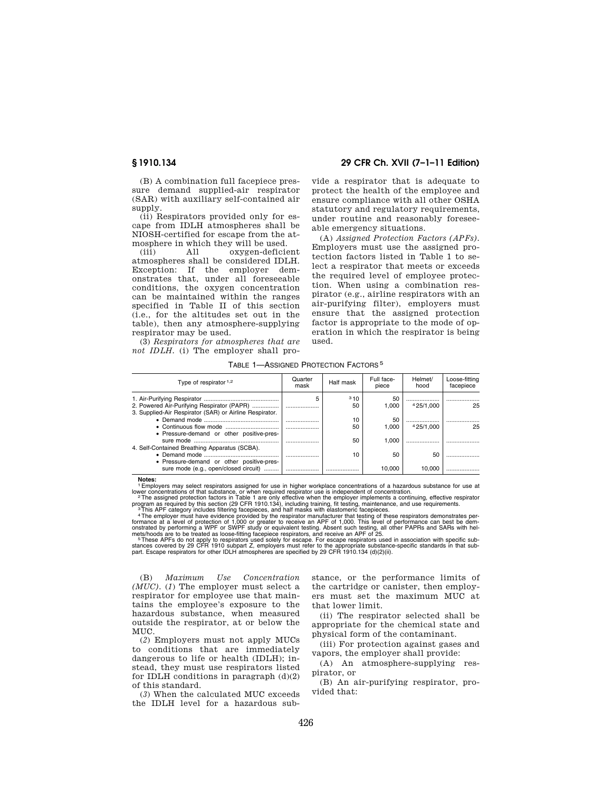**§ 1910.134 29 CFR Ch. XVII (7–1–11 Edition)** 

(B) A combination full facepiece pressure demand supplied-air respirator (SAR) with auxiliary self-contained air supply.

(ii) Respirators provided only for escape from IDLH atmospheres shall be NIOSH-certified for escape from the atmosphere in which they will be used.

(iii) All oxygen-deficient atmospheres shall be considered IDLH. Exception: If the employer demonstrates that, under all foreseeable conditions, the oxygen concentration can be maintained within the ranges specified in Table II of this section (i.e., for the altitudes set out in the table), then any atmosphere-supplying respirator may be used.

(3) *Respirators for atmospheres that are not IDLH.* (i) The employer shall provide a respirator that is adequate to protect the health of the employee and ensure compliance with all other OSHA statutory and regulatory requirements, under routine and reasonably foreseeable emergency situations.

(A) *Assigned Protection Factors (APFs).*  Employers must use the assigned protection factors listed in Table 1 to select a respirator that meets or exceeds the required level of employee protection. When using a combination respirator (e.g., airline respirators with an air-purifying filter), employers must ensure that the assigned protection factor is appropriate to the mode of operation in which the respirator is being used.

| TABLE 1-ASSIGNED PROTECTION FACTORS <sup>5</sup> |  |  |  |                          |  |
|--------------------------------------------------|--|--|--|--------------------------|--|
|                                                  |  |  |  | Quarter J. J. Hullface J |  |

| Type of respirator $1,2$                                | Quarter<br>mask | Half mask | Full face-<br>piece | Helmet/<br>hood | Loose-fitting<br>facepiece |
|---------------------------------------------------------|-----------------|-----------|---------------------|-----------------|----------------------------|
|                                                         | 5               | 310       | 50                  |                 |                            |
| 2. Powered Air-Purifying Respirator (PAPR)              |                 | 50        | 1.000               | 425/1.000       | 25                         |
| 3. Supplied-Air Respirator (SAR) or Airline Respirator. |                 |           |                     |                 |                            |
|                                                         |                 | 10        | 50                  |                 |                            |
|                                                         |                 | 50        | 1.000               | 425/1.000       | 25                         |
| • Pressure-demand or other positive-pres-               |                 |           |                     |                 |                            |
|                                                         |                 | 50        | 1.000               |                 |                            |
| 4. Self-Contained Breathing Apparatus (SCBA).           |                 |           |                     |                 |                            |
|                                                         |                 | 10        | 50                  | 50              |                            |
| • Pressure-demand or other positive-pres-               |                 |           |                     |                 |                            |
| sure mode (e.g., open/closed circuit)                   |                 |           | 10.000              | 10.000          |                            |

**Notes:** 

<sup>1</sup> Employers may select respirators assigned for use in higher workplace concentrations of a hazardous substance for use at lower concentrations of that substance, or when required respirator use is independent of concentration.<br><sup>2</sup> The assigned protection factors in Table 1 are only effective when the employer implements a continuing, effectiv

program as required by this section (29 CFR 1910.134), including training, fit testing, maintenance, and use requirements.<br><sup>3</sup> This APF category includes filtering facepieces, and half masks with elastomeric facepieces.<br><sup>4</sup>

(B) *Maximum Use Concentration (MUC).* (*1*) The employer must select a respirator for employee use that maintains the employee's exposure to the hazardous substance, when measured outside the respirator, at or below the MUC.

(*2*) Employers must not apply MUCs to conditions that are immediately dangerous to life or health (IDLH); instead, they must use respirators listed for IDLH conditions in paragraph  $(d)(2)$ of this standard.

(*3*) When the calculated MUC exceeds the IDLH level for a hazardous substance, or the performance limits of the cartridge or canister, then employers must set the maximum MUC at that lower limit.

(ii) The respirator selected shall be appropriate for the chemical state and physical form of the contaminant.

(iii) For protection against gases and vapors, the employer shall provide:

(A) An atmosphere-supplying respirator, or

(B) An air-purifying respirator, provided that: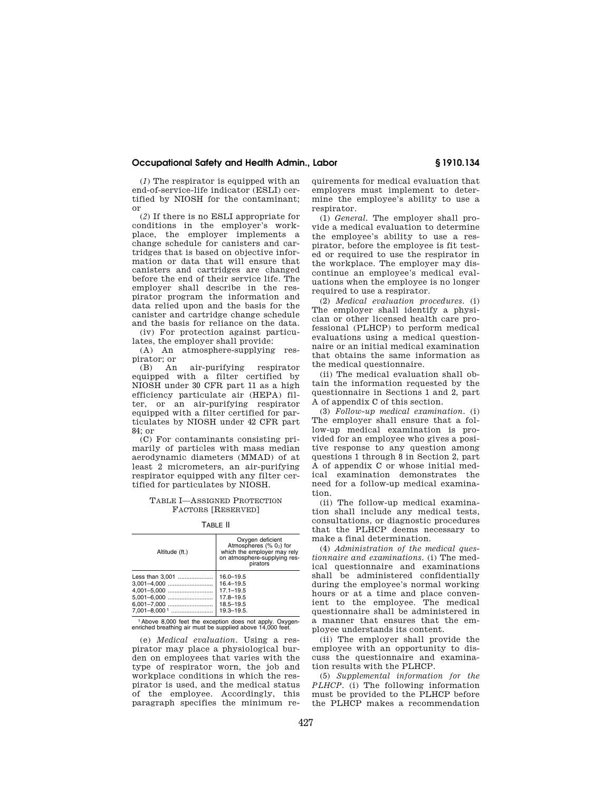(*1*) The respirator is equipped with an end-of-service-life indicator (ESLI) certified by NIOSH for the contaminant; or

(*2*) If there is no ESLI appropriate for conditions in the employer's workplace, the employer implements a change schedule for canisters and cartridges that is based on objective information or data that will ensure that canisters and cartridges are changed before the end of their service life. The employer shall describe in the respirator program the information and data relied upon and the basis for the canister and cartridge change schedule and the basis for reliance on the data.

(iv) For protection against particulates, the employer shall provide: (A) An atmosphere-supplying res-

pirator; or  $(B)$  An

air-purifying respirator equipped with a filter certified by NIOSH under 30 CFR part 11 as a high efficiency particulate air (HEPA) filter, or an air-purifying respirator equipped with a filter certified for particulates by NIOSH under 42 CFR part 84; or

(C) For contaminants consisting primarily of particles with mass median aerodynamic diameters (MMAD) of at least 2 micrometers, an air-purifying respirator equipped with any filter certified for particulates by NIOSH.

# TABLE I—ASSIGNED PROTECTION FACTORS [RESERVED]

TABLE II

| Altitude (ft.)                                | Oxygen deficient<br>Atmospheres $(\% 0_2)$ for<br>which the employer may rely<br>on atmosphere-supplying res-<br>pirators |
|-----------------------------------------------|---------------------------------------------------------------------------------------------------------------------------|
| Less than 3,001<br>4,001-5,000<br>6,001-7,000 | $16.0 - 19.5$<br>16.4-19.5<br>$17.1 - 19.5$<br>17.8-19.5<br>18.5-19.5<br>$19.3 - 19.5$ .                                  |

1Above 8,000 feet the exception does not apply. Oxygen-enriched breathing air must be supplied above 14,000 feet.

(e) *Medical evaluation.* Using a respirator may place a physiological burden on employees that varies with the type of respirator worn, the job and workplace conditions in which the respirator is used, and the medical status of the employee. Accordingly, this paragraph specifies the minimum requirements for medical evaluation that employers must implement to determine the employee's ability to use a respirator.

(1) *General.* The employer shall provide a medical evaluation to determine the employee's ability to use a respirator, before the employee is fit tested or required to use the respirator in the workplace. The employer may discontinue an employee's medical evaluations when the employee is no longer required to use a respirator.

(2) *Medical evaluation procedures.* (i) The employer shall identify a physician or other licensed health care professional (PLHCP) to perform medical evaluations using a medical questionnaire or an initial medical examination that obtains the same information as the medical questionnaire.

(ii) The medical evaluation shall obtain the information requested by the questionnaire in Sections 1 and 2, part A of appendix C of this section.

(3) *Follow-up medical examination.* (i) The employer shall ensure that a follow-up medical examination is provided for an employee who gives a positive response to any question among questions 1 through 8 in Section 2, part A of appendix C or whose initial medical examination demonstrates the need for a follow-up medical examination.

(ii) The follow-up medical examination shall include any medical tests, consultations, or diagnostic procedures that the PLHCP deems necessary to make a final determination.

(4) *Administration of the medical questionnaire and examinations.* (i) The medical questionnaire and examinations shall be administered confidentially during the employee's normal working hours or at a time and place convenient to the employee. The medical questionnaire shall be administered in a manner that ensures that the employee understands its content.

(ii) The employer shall provide the employee with an opportunity to discuss the questionnaire and examination results with the PLHCP.

(5) *Supplemental information for the PLHCP.* (i) The following information must be provided to the PLHCP before the PLHCP makes a recommendation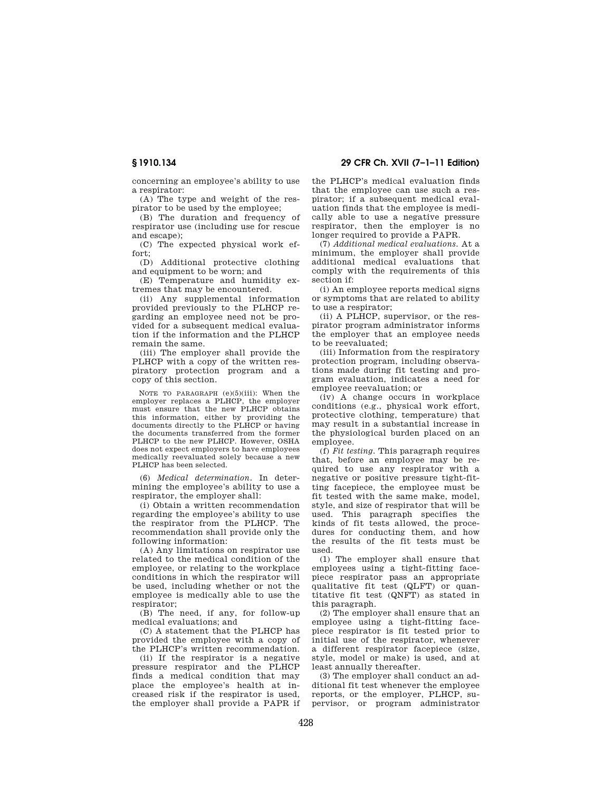concerning an employee's ability to use a respirator:

(A) The type and weight of the respirator to be used by the employee;

(B) The duration and frequency of respirator use (including use for rescue and escape):

(C) The expected physical work effort;

(D) Additional protective clothing and equipment to be worn; and

(E) Temperature and humidity extremes that may be encountered.

(ii) Any supplemental information provided previously to the PLHCP regarding an employee need not be provided for a subsequent medical evaluation if the information and the PLHCP remain the same.

(iii) The employer shall provide the PLHCP with a copy of the written respiratory protection program and a copy of this section.

NOTE TO PARAGRAPH (e)(5)(iii): When the employer replaces a PLHCP, the employer must ensure that the new PLHCP obtains this information, either by providing the documents directly to the PLHCP or having the documents transferred from the former PLHCP to the new PLHCP. However, OSHA does not expect employers to have employees medically reevaluated solely because a new PLHCP has been selected.

(6) *Medical determination.* In determining the employee's ability to use a respirator, the employer shall:

(i) Obtain a written recommendation regarding the employee's ability to use the respirator from the PLHCP. The recommendation shall provide only the following information:

(A) Any limitations on respirator use related to the medical condition of the employee, or relating to the workplace conditions in which the respirator will be used, including whether or not the employee is medically able to use the respirator;

(B) The need, if any, for follow-up medical evaluations; and

(C) A statement that the PLHCP has provided the employee with a copy of the PLHCP's written recommendation.

(ii) If the respirator is a negative pressure respirator and the PLHCP finds a medical condition that may place the employee's health at increased risk if the respirator is used, the employer shall provide a PAPR if the PLHCP's medical evaluation finds that the employee can use such a respirator; if a subsequent medical evaluation finds that the employee is medically able to use a negative pressure respirator, then the employer is no longer required to provide a PAPR.

(7) *Additional medical evaluations.* At a minimum, the employer shall provide additional medical evaluations that comply with the requirements of this section if:

(i) An employee reports medical signs or symptoms that are related to ability to use a respirator;

(ii) A PLHCP, supervisor, or the respirator program administrator informs the employer that an employee needs to be reevaluated;

(iii) Information from the respiratory protection program, including observations made during fit testing and program evaluation, indicates a need for employee reevaluation; or

(iv) A change occurs in workplace conditions (e.g., physical work effort, protective clothing, temperature) that may result in a substantial increase in the physiological burden placed on an employee.

(f) *Fit testing.* This paragraph requires that, before an employee may be required to use any respirator with a negative or positive pressure tight-fitting facepiece, the employee must be fit tested with the same make, model, style, and size of respirator that will be used. This paragraph specifies the kinds of fit tests allowed, the procedures for conducting them, and how the results of the fit tests must be used.

(1) The employer shall ensure that employees using a tight-fitting facepiece respirator pass an appropriate qualitative fit test (QLFT) or quantitative fit test (QNFT) as stated in this paragraph.

(2) The employer shall ensure that an employee using a tight-fitting facepiece respirator is fit tested prior to initial use of the respirator, whenever a different respirator facepiece (size, style, model or make) is used, and at least annually thereafter.

(3) The employer shall conduct an additional fit test whenever the employee reports, or the employer, PLHCP, supervisor, or program administrator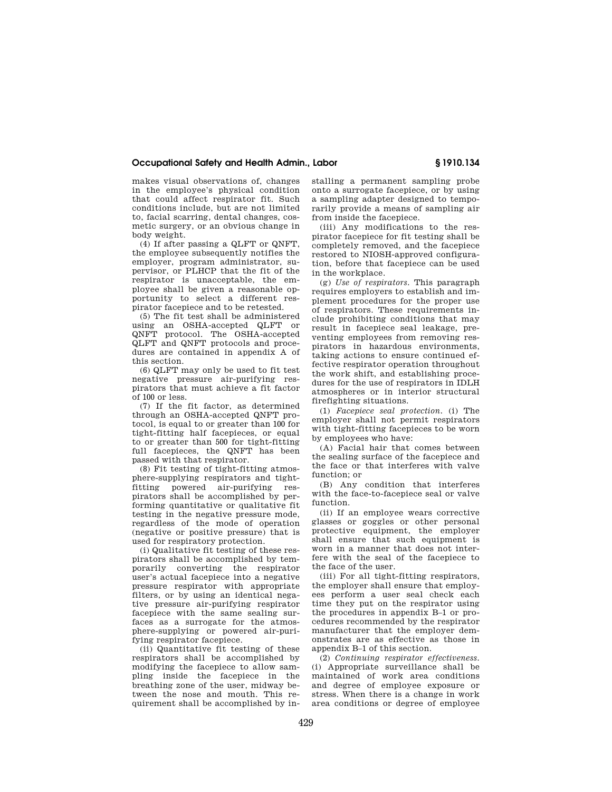makes visual observations of, changes in the employee's physical condition that could affect respirator fit. Such conditions include, but are not limited to, facial scarring, dental changes, cosmetic surgery, or an obvious change in body weight.

(4) If after passing a QLFT or QNFT, the employee subsequently notifies the employer, program administrator, supervisor, or PLHCP that the fit of the respirator is unacceptable, the employee shall be given a reasonable opportunity to select a different respirator facepiece and to be retested.

(5) The fit test shall be administered using an OSHA-accepted QLFT or QNFT protocol. The OSHA-accepted QLFT and QNFT protocols and procedures are contained in appendix A of this section.

(6) QLFT may only be used to fit test negative pressure air-purifying respirators that must achieve a fit factor of 100 or less.

(7) If the fit factor, as determined through an OSHA-accepted QNFT protocol, is equal to or greater than 100 for tight-fitting half facepieces, or equal to or greater than 500 for tight-fitting full facepieces, the QNFT has been passed with that respirator.

(8) Fit testing of tight-fitting atmosphere-supplying respirators and tightfitting powered air-purifying respirators shall be accomplished by performing quantitative or qualitative fit testing in the negative pressure mode, regardless of the mode of operation (negative or positive pressure) that is used for respiratory protection.

(i) Qualitative fit testing of these respirators shall be accomplished by temporarily converting the respirator user's actual facepiece into a negative pressure respirator with appropriate filters, or by using an identical negative pressure air-purifying respirator facepiece with the same sealing surfaces as a surrogate for the atmosphere-supplying or powered air-purifying respirator facepiece.

(ii) Quantitative fit testing of these respirators shall be accomplished by modifying the facepiece to allow sampling inside the facepiece in the breathing zone of the user, midway between the nose and mouth. This requirement shall be accomplished by installing a permanent sampling probe onto a surrogate facepiece, or by using a sampling adapter designed to temporarily provide a means of sampling air from inside the facepiece.

(iii) Any modifications to the respirator facepiece for fit testing shall be completely removed, and the facepiece restored to NIOSH-approved configuration, before that facepiece can be used in the workplace.

(g) *Use of respirators.* This paragraph requires employers to establish and implement procedures for the proper use of respirators. These requirements include prohibiting conditions that may result in facepiece seal leakage, preventing employees from removing respirators in hazardous environments, taking actions to ensure continued effective respirator operation throughout the work shift, and establishing procedures for the use of respirators in IDLH atmospheres or in interior structural firefighting situations.

(1) *Facepiece seal protection.* (i) The employer shall not permit respirators with tight-fitting facepieces to be worn by employees who have:

(A) Facial hair that comes between the sealing surface of the facepiece and the face or that interferes with valve function; or

(B) Any condition that interferes with the face-to-facepiece seal or valve function.

(ii) If an employee wears corrective glasses or goggles or other personal protective equipment, the employer shall ensure that such equipment is worn in a manner that does not interfere with the seal of the facepiece to the face of the user.

(iii) For all tight-fitting respirators, the employer shall ensure that employees perform a user seal check each time they put on the respirator using the procedures in appendix B–1 or procedures recommended by the respirator manufacturer that the employer demonstrates are as effective as those in appendix B–1 of this section.

(2) *Continuing respirator effectiveness.*  (i) Appropriate surveillance shall be maintained of work area conditions and degree of employee exposure or stress. When there is a change in work area conditions or degree of employee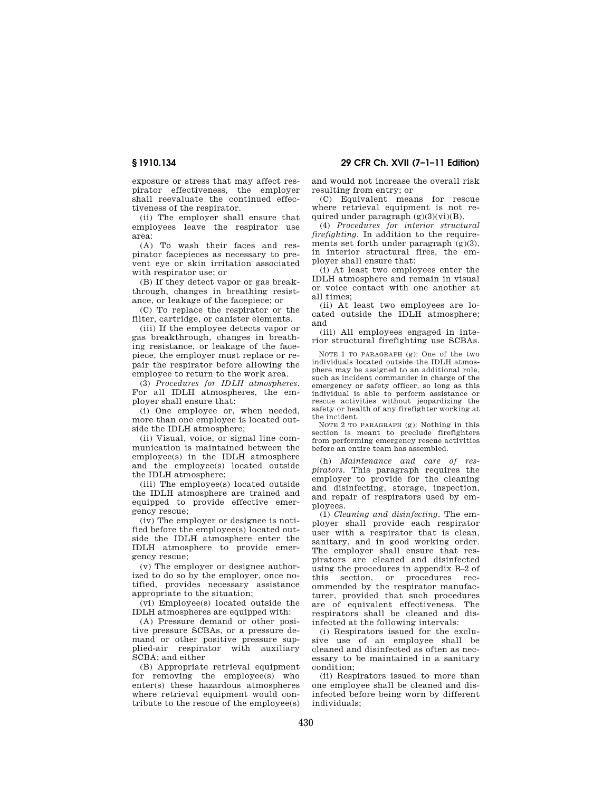exposure or stress that may affect respirator effectiveness, the employer shall reevaluate the continued effectiveness of the respirator.

(ii) The employer shall ensure that employees leave the respirator use area:

(A) To wash their faces and respirator facepieces as necessary to prevent eye or skin irritation associated with respirator use; or

(B) If they detect vapor or gas breakthrough, changes in breathing resistance, or leakage of the facepiece; or

(C) To replace the respirator or the filter, cartridge, or canister elements.

(iii) If the employee detects vapor or gas breakthrough, changes in breathing resistance, or leakage of the facepiece, the employer must replace or repair the respirator before allowing the employee to return to the work area.

(3) *Procedures for IDLH atmospheres.*  For all IDLH atmospheres, the employer shall ensure that:

(i) One employee or, when needed, more than one employee is located outside the IDLH atmosphere;

(ii) Visual, voice, or signal line communication is maintained between the employee(s) in the IDLH atmosphere and the employee(s) located outside the IDLH atmosphere;

(iii) The employee(s) located outside the IDLH atmosphere are trained and equipped to provide effective emergency rescue;

(iv) The employer or designee is notified before the employee(s) located outside the IDLH atmosphere enter the IDLH atmosphere to provide emergency rescue;

(v) The employer or designee authorized to do so by the employer, once notified, provides necessary assistance appropriate to the situation;

(vi) Employee(s) located outside the IDLH atmospheres are equipped with:

(A) Pressure demand or other positive pressure SCBAs, or a pressure demand or other positive pressure supplied-air respirator with auxiliary SCBA; and either

(B) Appropriate retrieval equipment for removing the employee(s) who enter(s) these hazardous atmospheres where retrieval equipment would contribute to the rescue of the employee(s)

**§ 1910.134 29 CFR Ch. XVII (7–1–11 Edition)** 

and would not increase the overall risk resulting from entry; or

(C) Equivalent means for rescue where retrieval equipment is not required under paragraph  $(g)(3)(vi)(B)$ .

(4) *Procedures for interior structural firefighting.* In addition to the requirements set forth under paragraph (g)(3), in interior structural fires, the employer shall ensure that:

(i) At least two employees enter the IDLH atmosphere and remain in visual or voice contact with one another at all times;

(ii) At least two employees are located outside the IDLH atmosphere; and

(iii) All employees engaged in interior structural firefighting use SCBAs.

NOTE 1 TO PARAGRAPH (g): One of the two individuals located outside the IDLH atmosphere may be assigned to an additional role, such as incident commander in charge of the emergency or safety officer, so long as this individual is able to perform assistance or rescue activities without jeopardizing the safety or health of any firefighter working at the incident.

NOTE 2 TO PARAGRAPH (g): Nothing in this section is meant to preclude firefighters from performing emergency rescue activities before an entire team has assembled.

(h) *Maintenance and care of respirators.* This paragraph requires the employer to provide for the cleaning and disinfecting, storage, inspection, and repair of respirators used by employees.

(1) *Cleaning and disinfecting.* The employer shall provide each respirator user with a respirator that is clean, sanitary, and in good working order. The employer shall ensure that respirators are cleaned and disinfected using the procedures in appendix B–2 of this section, or procedures recommended by the respirator manufacturer, provided that such procedures are of equivalent effectiveness. The respirators shall be cleaned and disinfected at the following intervals:

(i) Respirators issued for the exclusive use of an employee shall be cleaned and disinfected as often as necessary to be maintained in a sanitary condition;

(ii) Respirators issued to more than one employee shall be cleaned and disinfected before being worn by different individuals;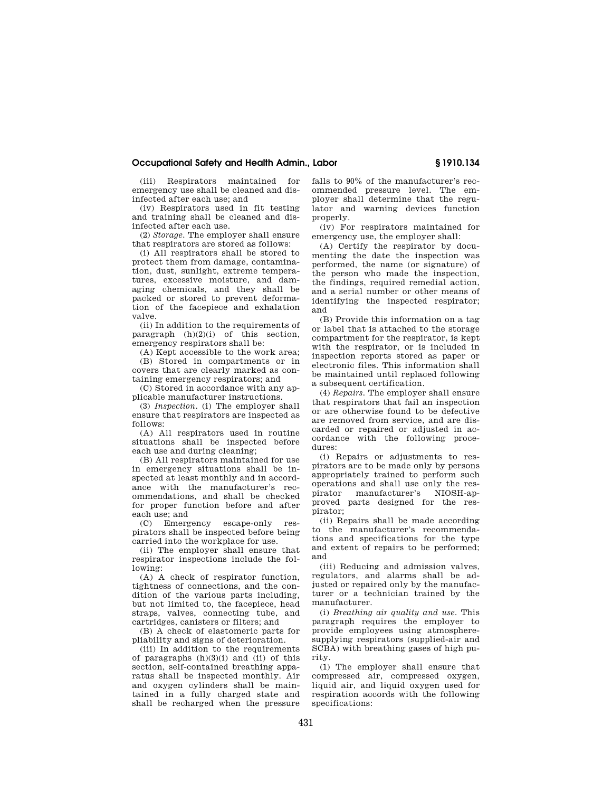(iii) Respirators maintained for emergency use shall be cleaned and disinfected after each use; and

(iv) Respirators used in fit testing and training shall be cleaned and disinfected after each use.

(2) *Storage.* The employer shall ensure that respirators are stored as follows:

(i) All respirators shall be stored to protect them from damage, contamination, dust, sunlight, extreme temperatures, excessive moisture, and damaging chemicals, and they shall be packed or stored to prevent deformation of the facepiece and exhalation valve.

(ii) In addition to the requirements of paragraph  $(h)(2)(i)$  of this section, emergency respirators shall be:

(A) Kept accessible to the work area; (B) Stored in compartments or in covers that are clearly marked as containing emergency respirators; and

(C) Stored in accordance with any applicable manufacturer instructions.

(3) *Inspection.* (i) The employer shall ensure that respirators are inspected as follows:

(A) All respirators used in routine situations shall be inspected before each use and during cleaning;

(B) All respirators maintained for use in emergency situations shall be inspected at least monthly and in accordance with the manufacturer's recommendations, and shall be checked for proper function before and after each use; and

(C) Emergency escape-only respirators shall be inspected before being carried into the workplace for use.

(ii) The employer shall ensure that respirator inspections include the following:

(A) A check of respirator function, tightness of connections, and the condition of the various parts including, but not limited to, the facepiece, head straps, valves, connecting tube, and cartridges, canisters or filters; and

(B) A check of elastomeric parts for pliability and signs of deterioration.

(iii) In addition to the requirements of paragraphs  $(h)(3)(i)$  and  $(ii)$  of this section, self-contained breathing apparatus shall be inspected monthly. Air and oxygen cylinders shall be maintained in a fully charged state and shall be recharged when the pressure

falls to 90% of the manufacturer's recommended pressure level. The employer shall determine that the regulator and warning devices function properly.

(iv) For respirators maintained for emergency use, the employer shall:

(A) Certify the respirator by documenting the date the inspection was performed, the name (or signature) of the person who made the inspection, the findings, required remedial action, and a serial number or other means of identifying the inspected respirator; and

(B) Provide this information on a tag or label that is attached to the storage compartment for the respirator, is kept with the respirator, or is included in inspection reports stored as paper or electronic files. This information shall be maintained until replaced following a subsequent certification.

(4) *Repairs.* The employer shall ensure that respirators that fail an inspection or are otherwise found to be defective are removed from service, and are discarded or repaired or adjusted in accordance with the following procedures:

(i) Repairs or adjustments to respirators are to be made only by persons appropriately trained to perform such operations and shall use only the respirator manufacturer's NIOSH-approved parts designed for the respirator;

(ii) Repairs shall be made according to the manufacturer's recommendations and specifications for the type and extent of repairs to be performed; and

(iii) Reducing and admission valves, regulators, and alarms shall be adjusted or repaired only by the manufacturer or a technician trained by the manufacturer.

(i) *Breathing air quality and use.* This paragraph requires the employer to provide employees using atmospheresupplying respirators (supplied-air and SCBA) with breathing gases of high purity.

(1) The employer shall ensure that compressed air, compressed oxygen, liquid air, and liquid oxygen used for respiration accords with the following specifications: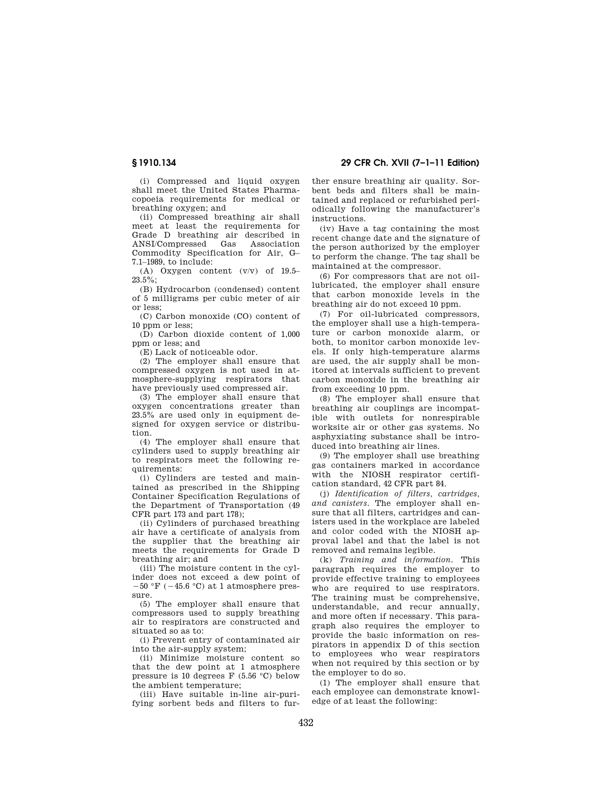(i) Compressed and liquid oxygen shall meet the United States Pharmacopoeia requirements for medical or breathing oxygen; and

(ii) Compressed breathing air shall meet at least the requirements for Grade D breathing air described in<br>ANSI/Compressed Gas Association ANSI/Compressed Gas Association Commodity Specification for Air, G– 7.1–1989, to include:

(A) Oxygen content (v/v) of 19.5–  $23.5\%$ :

(B) Hydrocarbon (condensed) content of 5 milligrams per cubic meter of air or less;

(C) Carbon monoxide (CO) content of 10 ppm or less;

(D) Carbon dioxide content of 1,000 ppm or less; and

(E) Lack of noticeable odor.

(2) The employer shall ensure that compressed oxygen is not used in atmosphere-supplying respirators that have previously used compressed air.

(3) The employer shall ensure that oxygen concentrations greater than 23.5% are used only in equipment designed for oxygen service or distribution.

(4) The employer shall ensure that cylinders used to supply breathing air to respirators meet the following requirements:

(i) Cylinders are tested and maintained as prescribed in the Shipping Container Specification Regulations of the Department of Transportation (49 CFR part 173 and part 178);

(ii) Cylinders of purchased breathing air have a certificate of analysis from the supplier that the breathing air meets the requirements for Grade D breathing air; and

(iii) The moisture content in the cylinder does not exceed a dew point of  $-50$  °F ( $-45.6$  °C) at 1 atmosphere pressure.

(5) The employer shall ensure that compressors used to supply breathing air to respirators are constructed and situated so as to:

(i) Prevent entry of contaminated air into the air-supply system;

(ii) Minimize moisture content so that the dew point at 1 atmosphere pressure is 10 degrees F (5.56 °C) below the ambient temperature;

(iii) Have suitable in-line air-purifying sorbent beds and filters to fur-

**§ 1910.134 29 CFR Ch. XVII (7–1–11 Edition)** 

ther ensure breathing air quality. Sorbent beds and filters shall be maintained and replaced or refurbished periodically following the manufacturer's instructions.

(iv) Have a tag containing the most recent change date and the signature of the person authorized by the employer to perform the change. The tag shall be maintained at the compressor.

(6) For compressors that are not oillubricated, the employer shall ensure that carbon monoxide levels in the breathing air do not exceed 10 ppm.

(7) For oil-lubricated compressors, the employer shall use a high-temperature or carbon monoxide alarm, or both, to monitor carbon monoxide levels. If only high-temperature alarms are used, the air supply shall be monitored at intervals sufficient to prevent carbon monoxide in the breathing air from exceeding 10 ppm.

(8) The employer shall ensure that breathing air couplings are incompatible with outlets for nonrespirable worksite air or other gas systems. No asphyxiating substance shall be introduced into breathing air lines.

(9) The employer shall use breathing gas containers marked in accordance with the NIOSH respirator certification standard, 42 CFR part 84.

(j) *Identification of filters, cartridges, and canisters.* The employer shall ensure that all filters, cartridges and canisters used in the workplace are labeled and color coded with the NIOSH approval label and that the label is not removed and remains legible.

(k) *Training and information.* This paragraph requires the employer to provide effective training to employees who are required to use respirators. The training must be comprehensive, understandable, and recur annually, and more often if necessary. This paragraph also requires the employer to provide the basic information on respirators in appendix D of this section to employees who wear respirators when not required by this section or by the employer to do so.

(1) The employer shall ensure that each employee can demonstrate knowledge of at least the following: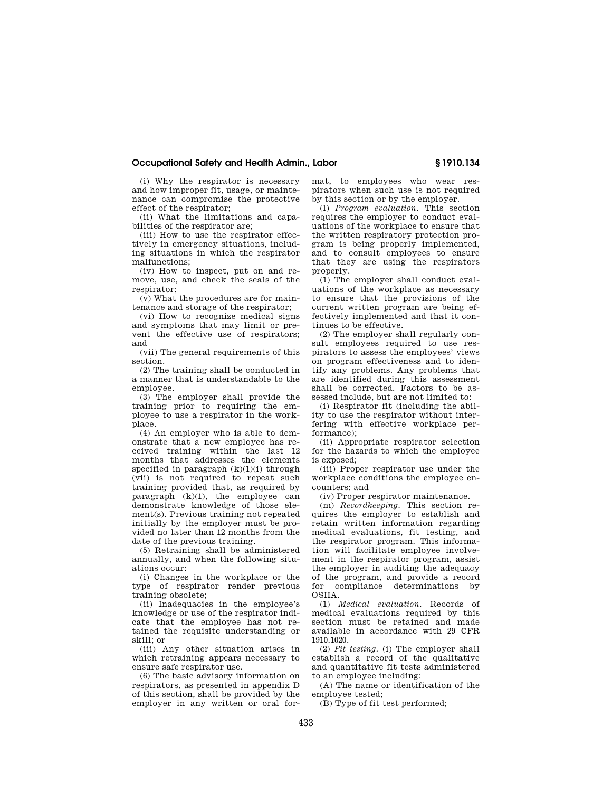(i) Why the respirator is necessary and how improper fit, usage, or maintenance can compromise the protective effect of the respirator;

(ii) What the limitations and capabilities of the respirator are;

(iii) How to use the respirator effectively in emergency situations, including situations in which the respirator malfunctions;

(iv) How to inspect, put on and remove, use, and check the seals of the respirator;

(v) What the procedures are for maintenance and storage of the respirator;

(vi) How to recognize medical signs and symptoms that may limit or prevent the effective use of respirators; and

(vii) The general requirements of this section.

(2) The training shall be conducted in a manner that is understandable to the employee.

(3) The employer shall provide the training prior to requiring the employee to use a respirator in the workplace.

(4) An employer who is able to demonstrate that a new employee has received training within the last 12 months that addresses the elements specified in paragraph  $(k)(1)(i)$  through (vii) is not required to repeat such training provided that, as required by paragraph  $(k)(1)$ , the employee can demonstrate knowledge of those element(s). Previous training not repeated initially by the employer must be provided no later than 12 months from the date of the previous training.

(5) Retraining shall be administered annually, and when the following situations occur:

(i) Changes in the workplace or the type of respirator render previous training obsolete;

(ii) Inadequacies in the employee's knowledge or use of the respirator indicate that the employee has not retained the requisite understanding or skill; or

(iii) Any other situation arises in which retraining appears necessary to ensure safe respirator use.

(6) The basic advisory information on respirators, as presented in appendix D of this section, shall be provided by the employer in any written or oral format, to employees who wear respirators when such use is not required by this section or by the employer.

(l) *Program evaluation.* This section requires the employer to conduct evaluations of the workplace to ensure that the written respiratory protection program is being properly implemented, and to consult employees to ensure that they are using the respirators properly.

(1) The employer shall conduct evaluations of the workplace as necessary to ensure that the provisions of the current written program are being effectively implemented and that it continues to be effective.

(2) The employer shall regularly consult employees required to use respirators to assess the employees' views on program effectiveness and to identify any problems. Any problems that are identified during this assessment shall be corrected. Factors to be assessed include, but are not limited to:

(i) Respirator fit (including the ability to use the respirator without interfering with effective workplace performance);

(ii) Appropriate respirator selection for the hazards to which the employee is exposed;

(iii) Proper respirator use under the workplace conditions the employee encounters; and

(iv) Proper respirator maintenance.

(m) *Recordkeeping.* This section requires the employer to establish and retain written information regarding medical evaluations, fit testing, and the respirator program. This information will facilitate employee involvement in the respirator program, assist the employer in auditing the adequacy of the program, and provide a record for compliance determinations by OSHA.

(1) *Medical evaluation.* Records of medical evaluations required by this section must be retained and made available in accordance with 29 CFR 1910.1020.

(2) *Fit testing.* (i) The employer shall establish a record of the qualitative and quantitative fit tests administered to an employee including:

(A) The name or identification of the employee tested;

(B) Type of fit test performed;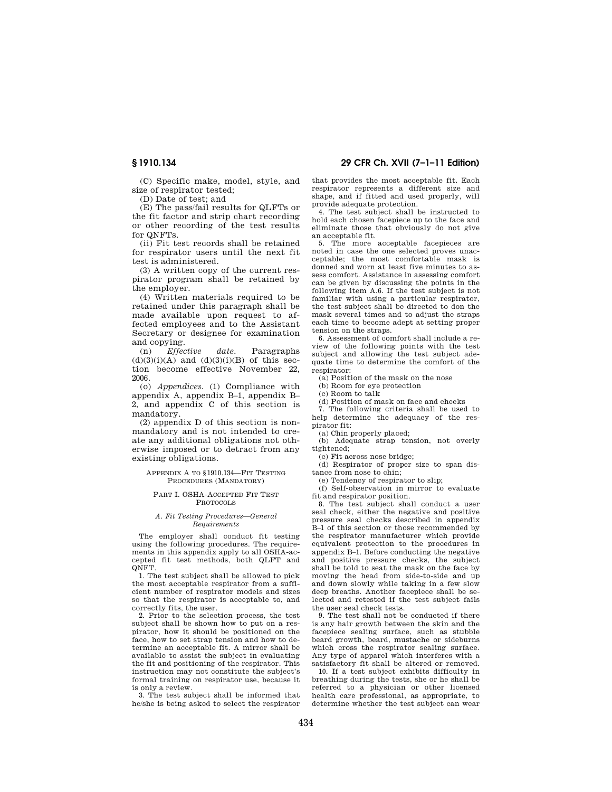(C) Specific make, model, style, and size of respirator tested;

(D) Date of test; and

(E) The pass/fail results for QLFTs or the fit factor and strip chart recording or other recording of the test results for QNFTs.

(ii) Fit test records shall be retained for respirator users until the next fit test is administered.

(3) A written copy of the current respirator program shall be retained by the employer.

(4) Written materials required to be retained under this paragraph shall be made available upon request to affected employees and to the Assistant Secretary or designee for examination and copying.

(n) *Effective date.* Paragraphs  $(d)(3)(i)(A)$  and  $(d)(3)(i)(B)$  of this section become effective November 22, 2006.

(o) *Appendices.* (1) Compliance with appendix A, appendix B–1, appendix B– 2, and appendix C of this section is mandatory.

(2) appendix D of this section is nonmandatory and is not intended to create any additional obligations not otherwise imposed or to detract from any existing obligations.

### APPENDIX A TO §1910.134—FIT TESTING PROCEDURES (MANDATORY)

## PART I. OSHA-ACCEPTED FIT TEST PROTOCOLS

### *A. Fit Testing Procedures—General Requirements*

The employer shall conduct fit testing using the following procedures. The requirements in this appendix apply to all OSHA-accepted fit test methods, both QLFT and QNFT.

1. The test subject shall be allowed to pick the most acceptable respirator from a sufficient number of respirator models and sizes so that the respirator is acceptable to, and correctly fits, the user.

2. Prior to the selection process, the test subject shall be shown how to put on a respirator, how it should be positioned on the face, how to set strap tension and how to determine an acceptable fit. A mirror shall be available to assist the subject in evaluating the fit and positioning of the respirator. This instruction may not constitute the subject's formal training on respirator use, because it is only a review.

3. The test subject shall be informed that he/she is being asked to select the respirator

# **§ 1910.134 29 CFR Ch. XVII (7–1–11 Edition)**

that provides the most acceptable fit. Each respirator represents a different size and shape, and if fitted and used properly, will provide adequate protection.

4. The test subject shall be instructed to hold each chosen facepiece up to the face and eliminate those that obviously do not give an acceptable fit.

5. The more acceptable facepieces are noted in case the one selected proves unacceptable; the most comfortable mask is donned and worn at least five minutes to assess comfort. Assistance in assessing comfort can be given by discussing the points in the following item A.6. If the test subject is not familiar with using a particular respirator, the test subject shall be directed to don the mask several times and to adjust the straps each time to become adept at setting proper tension on the straps.

6. Assessment of comfort shall include a review of the following points with the test subject and allowing the test subject adequate time to determine the comfort of the respirator:

(a) Position of the mask on the nose

(b) Room for eye protection

(c) Room to talk

(d) Position of mask on face and cheeks 7. The following criteria shall be used to

help determine the adequacy of the respirator fit: (a) Chin properly placed;

(b) Adequate strap tension, not overly tightened;

(c) Fit across nose bridge;

(d) Respirator of proper size to span distance from nose to chin;

(e) Tendency of respirator to slip;

(f) Self-observation in mirror to evaluate fit and respirator position.

8. The test subject shall conduct a user seal check, either the negative and positive pressure seal checks described in appendix B–1 of this section or those recommended by the respirator manufacturer which provide equivalent protection to the procedures in appendix B–1. Before conducting the negative and positive pressure checks, the subject shall be told to seat the mask on the face by moving the head from side-to-side and up and down slowly while taking in a few slow deep breaths. Another facepiece shall be selected and retested if the test subject fails the user seal check tests.

9. The test shall not be conducted if there is any hair growth between the skin and the facepiece sealing surface, such as stubble beard growth, beard, mustache or sideburns which cross the respirator sealing surface. Any type of apparel which interferes with a satisfactory fit shall be altered or removed.

10. If a test subject exhibits difficulty in breathing during the tests, she or he shall be referred to a physician or other licensed health care professional, as appropriate, to determine whether the test subject can wear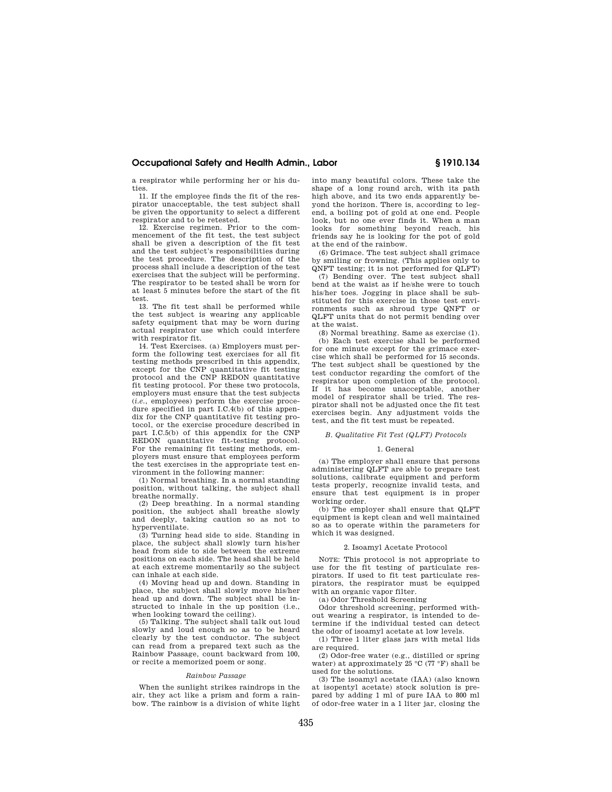a respirator while performing her or his duties.

11. If the employee finds the fit of the respirator unacceptable, the test subject shall be given the opportunity to select a different respirator and to be retested.

12. Exercise regimen. Prior to the commencement of the fit test, the test subject shall be given a description of the fit test and the test subject's responsibilities during the test procedure. The description of the process shall include a description of the test exercises that the subject will be performing. The respirator to be tested shall be worn for at least 5 minutes before the start of the fit test.

13. The fit test shall be performed while the test subject is wearing any applicable safety equipment that may be worn during actual respirator use which could interfere with respirator fit.

14. Test Exercises. (a) Employers must perform the following test exercises for all fit testing methods prescribed in this appendix, except for the CNP quantitative fit testing protocol and the CNP REDON quantitative fit testing protocol. For these two protocols, employers must ensure that the test subjects (*i.e.*, employees) perform the exercise procedure specified in part I.C.4(b) of this appendix for the CNP quantitative fit testing protocol, or the exercise procedure described in part I.C.5(b) of this appendix for the CNP REDON quantitative fit-testing protocol. For the remaining fit testing methods, employers must ensure that employees perform the test exercises in the appropriate test environment in the following manner:

(1) Normal breathing. In a normal standing position, without talking, the subject shall breathe normally.

(2) Deep breathing. In a normal standing position, the subject shall breathe slowly and deeply, taking caution so as not to hyperventilate.

(3) Turning head side to side. Standing in place, the subject shall slowly turn his/her head from side to side between the extreme positions on each side. The head shall be held at each extreme momentarily so the subject can inhale at each side.

(4) Moving head up and down. Standing in place, the subject shall slowly move his/her head up and down. The subject shall be instructed to inhale in the up position (i.e., when looking toward the ceiling).

(5) Talking. The subject shall talk out loud slowly and loud enough so as to be heard clearly by the test conductor. The subject can read from a prepared text such as the Rainbow Passage, count backward from 100, or recite a memorized poem or song.

### *Rainbow Passage*

When the sunlight strikes raindrops in the air, they act like a prism and form a rainbow. The rainbow is a division of white light into many beautiful colors. These take the shape of a long round arch, with its path high above, and its two ends apparently beyond the horizon. There is, according to legend, a boiling pot of gold at one end. People look, but no one ever finds it. When a man looks for something beyond reach, his friends say he is looking for the pot of gold at the end of the rainbow.

(6) Grimace. The test subject shall grimace by smiling or frowning. (This applies only to QNFT testing; it is not performed for QLFT)

(7) Bending over. The test subject shall bend at the waist as if he/she were to touch his/her toes. Jogging in place shall be substituted for this exercise in those test environments such as shroud type QNFT or QLFT units that do not permit bending over at the waist.

(8) Normal breathing. Same as exercise (1). (b) Each test exercise shall be performed for one minute except for the grimace exercise which shall be performed for 15 seconds. The test subject shall be questioned by the test conductor regarding the comfort of the respirator upon completion of the protocol. If it has become unacceptable, another model of respirator shall be tried. The respirator shall not be adjusted once the fit test exercises begin. Any adjustment voids the test, and the fit test must be repeated.

## *B. Qualitative Fit Test (QLFT) Protocols*

### 1. General

(a) The employer shall ensure that persons administering QLFT are able to prepare test solutions, calibrate equipment and perform tests properly, recognize invalid tests, and ensure that test equipment is in proper working order.

(b) The employer shall ensure that QLFT equipment is kept clean and well maintained so as to operate within the parameters for which it was designed.

### 2. Isoamyl Acetate Protocol

NOTE: This protocol is not appropriate to use for the fit testing of particulate respirators. If used to fit test particulate respirators, the respirator must be equipped with an organic vapor filter.

(a) Odor Threshold Screening

Odor threshold screening, performed without wearing a respirator, is intended to determine if the individual tested can detect the odor of isoamyl acetate at low levels.

(1) Three 1 liter glass jars with metal lids are required.

(2) Odor-free water (e.g., distilled or spring water) at approximately 25 °C (77 °F) shall be used for the solutions.

(3) The isoamyl acetate (IAA) (also known at isopentyl acetate) stock solution is prepared by adding 1 ml of pure IAA to 800 ml of odor-free water in a 1 liter jar, closing the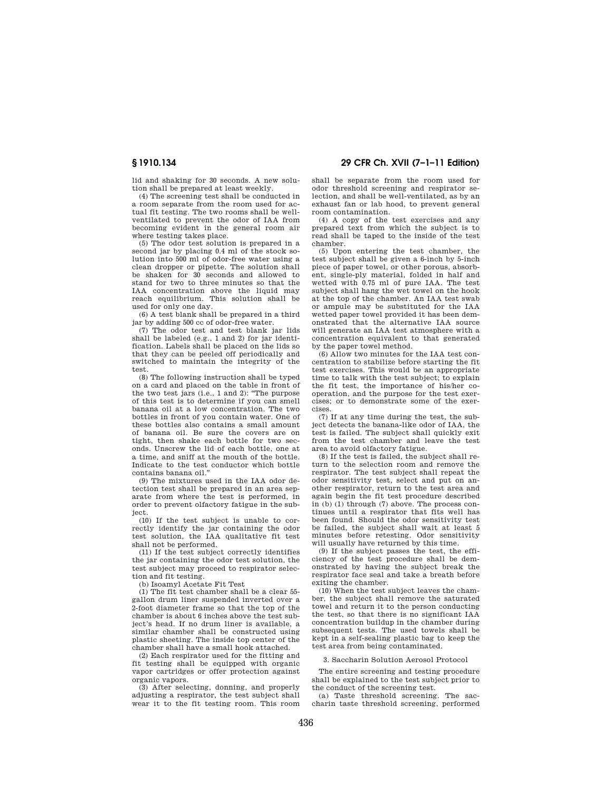lid and shaking for 30 seconds. A new solution shall be prepared at least weekly.

(4) The screening test shall be conducted in a room separate from the room used for actual fit testing. The two rooms shall be wellventilated to prevent the odor of IAA from becoming evident in the general room air where testing takes place.

(5) The odor test solution is prepared in a second jar by placing 0.4 ml of the stock solution into 500 ml of odor-free water using a clean dropper or pipette. The solution shall be shaken for 30 seconds and allowed to stand for two to three minutes so that the IAA concentration above the liquid may reach equilibrium. This solution shall be used for only one day.

(6) A test blank shall be prepared in a third jar by adding 500 cc of odor-free water.

(7) The odor test and test blank jar lids shall be labeled (e.g., 1 and 2) for jar identification. Labels shall be placed on the lids so that they can be peeled off periodically and switched to maintain the integrity of the test.

(8) The following instruction shall be typed on a card and placed on the table in front of the two test jars (i.e., 1 and 2): ''The purpose of this test is to determine if you can smell banana oil at a low concentration. The two bottles in front of you contain water. One of these bottles also contains a small amount of banana oil. Be sure the covers are on tight, then shake each bottle for two seconds. Unscrew the lid of each bottle, one at a time, and sniff at the mouth of the bottle. Indicate to the test conductor which bottle contains banana oil.''

(9) The mixtures used in the IAA odor detection test shall be prepared in an area separate from where the test is performed, in order to prevent olfactory fatigue in the subject.

(10) If the test subject is unable to correctly identify the jar containing the odor test solution, the IAA qualitative fit test shall not be performed.

(11) If the test subject correctly identifies the jar containing the odor test solution, the test subject may proceed to respirator selection and fit testing.

(b) Isoamyl Acetate Fit Test

(1) The fit test chamber shall be a clear 55 gallon drum liner suspended inverted over a 2-foot diameter frame so that the top of the chamber is about 6 inches above the test subject's head. If no drum liner is available, a similar chamber shall be constructed using plastic sheeting. The inside top center of the chamber shall have a small hook attached.

(2) Each respirator used for the fitting and fit testing shall be equipped with organic vapor cartridges or offer protection against organic vapors.

(3) After selecting, donning, and properly adjusting a respirator, the test subject shall wear it to the fit testing room. This room

**§ 1910.134 29 CFR Ch. XVII (7–1–11 Edition)** 

shall be separate from the room used for odor threshold screening and respirator selection, and shall be well-ventilated, as by an exhaust fan or lab hood, to prevent general room contamination.

(4) A copy of the test exercises and any prepared text from which the subject is to read shall be taped to the inside of the test chamber.

(5) Upon entering the test chamber, the test subject shall be given a 6-inch by 5-inch piece of paper towel, or other porous, absorbent, single-ply material, folded in half and wetted with 0.75 ml of pure IAA. The test subject shall hang the wet towel on the hook at the top of the chamber. An IAA test swab or ampule may be substituted for the IAA wetted paper towel provided it has been demonstrated that the alternative IAA source will generate an IAA test atmosphere with a concentration equivalent to that generated by the paper towel method.

(6) Allow two minutes for the IAA test concentration to stabilize before starting the fit test exercises. This would be an appropriate time to talk with the test subject; to explain the fit test, the importance of his/her cooperation, and the purpose for the test exercises; or to demonstrate some of the exercises.

(7) If at any time during the test, the subject detects the banana-like odor of IAA, the test is failed. The subject shall quickly exit from the test chamber and leave the test area to avoid olfactory fatigue.

(8) If the test is failed, the subject shall return to the selection room and remove the respirator. The test subject shall repeat the odor sensitivity test, select and put on another respirator, return to the test area and again begin the fit test procedure described in (b) (1) through (7) above. The process continues until a respirator that fits well has been found. Should the odor sensitivity test be failed, the subject shall wait at least 5 minutes before retesting. Odor sensitivity will usually have returned by this time.

(9) If the subject passes the test, the efficiency of the test procedure shall be demonstrated by having the subject break the respirator face seal and take a breath before exiting the chamber.

(10) When the test subject leaves the chamber, the subject shall remove the saturated towel and return it to the person conducting the test, so that there is no significant IAA concentration buildup in the chamber during subsequent tests. The used towels shall be kept in a self-sealing plastic bag to keep the test area from being contaminated.

### 3. Saccharin Solution Aerosol Protocol

The entire screening and testing procedure shall be explained to the test subject prior to the conduct of the screening test.

(a) Taste threshold screening. The saccharin taste threshold screening, performed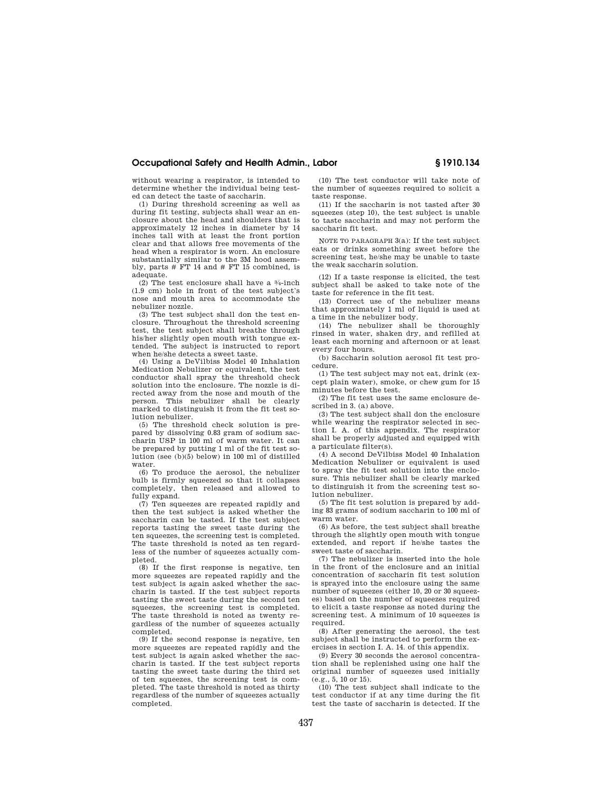without wearing a respirator, is intended to determine whether the individual being tested can detect the taste of saccharin.

(1) During threshold screening as well as during fit testing, subjects shall wear an enclosure about the head and shoulders that is approximately 12 inches in diameter by 14 inches tall with at least the front portion clear and that allows free movements of the head when a respirator is worn. An enclosure substantially similar to the 3M hood assembly, parts  $\#$  FT 14 and  $\#$  FT 15 combined, is adequate.

(2) The test enclosure shall have a 3⁄4-inch (1.9 cm) hole in front of the test subject's nose and mouth area to accommodate the nebulizer nozzle.

(3) The test subject shall don the test enclosure. Throughout the threshold screening test, the test subject shall breathe through his/her slightly open mouth with tongue extended. The subject is instructed to report when he/she detects a sweet taste.

(4) Using a DeVilbiss Model 40 Inhalation Medication Nebulizer or equivalent, the test conductor shall spray the threshold check solution into the enclosure. The nozzle is directed away from the nose and mouth of the person. This nebulizer shall be clearly marked to distinguish it from the fit test solution nebulizer.

(5) The threshold check solution is prepared by dissolving 0.83 gram of sodium saccharin USP in 100 ml of warm water. It can be prepared by putting 1 ml of the fit test solution (see (b)(5) below) in 100 ml of distilled water.

(6) To produce the aerosol, the nebulizer bulb is firmly squeezed so that it collapses completely, then released and allowed to fully expand.

(7) Ten squeezes are repeated rapidly and then the test subject is asked whether the saccharin can be tasted. If the test subject reports tasting the sweet taste during the ten squeezes, the screening test is completed. The taste threshold is noted as ten regardless of the number of squeezes actually completed.

(8) If the first response is negative, ten more squeezes are repeated rapidly and the test subject is again asked whether the saccharin is tasted. If the test subject reports tasting the sweet taste during the second ten squeezes, the screening test is completed. The taste threshold is noted as twenty regardless of the number of squeezes actually completed.

(9) If the second response is negative, ten more squeezes are repeated rapidly and the test subject is again asked whether the saccharin is tasted. If the test subject reports tasting the sweet taste during the third set of ten squeezes, the screening test is completed. The taste threshold is noted as thirty regardless of the number of squeezes actually completed.

(10) The test conductor will take note of the number of squeezes required to solicit a taste response.

(11) If the saccharin is not tasted after 30 squeezes (step 10), the test subject is unable to taste saccharin and may not perform the saccharin fit test.

NOTE TO PARAGRAPH 3(a): If the test subject eats or drinks something sweet before the screening test, he/she may be unable to taste the weak saccharin solution.

(12) If a taste response is elicited, the test subject shall be asked to take note of the taste for reference in the fit test.

(13) Correct use of the nebulizer means that approximately 1 ml of liquid is used at a time in the nebulizer body.

(14) The nebulizer shall be thoroughly rinsed in water, shaken dry, and refilled at least each morning and afternoon or at least every four hours.

(b) Saccharin solution aerosol fit test procedure.

(1) The test subject may not eat, drink (except plain water), smoke, or chew gum for 15 minutes before the test.

(2) The fit test uses the same enclosure described in 3. (a) above.

(3) The test subject shall don the enclosure while wearing the respirator selected in section I. A. of this appendix. The respirator shall be properly adjusted and equipped with a particulate filter(s).

(4) A second DeVilbiss Model 40 Inhalation Medication Nebulizer or equivalent is used to spray the fit test solution into the enclosure. This nebulizer shall be clearly marked to distinguish it from the screening test solution nebulizer.

(5) The fit test solution is prepared by adding 83 grams of sodium saccharin to 100 ml of warm water.

(6) As before, the test subject shall breathe through the slightly open mouth with tongue extended, and report if he/she tastes the sweet taste of saccharin.

(7) The nebulizer is inserted into the hole in the front of the enclosure and an initial concentration of saccharin fit test solution is sprayed into the enclosure using the same number of squeezes (either 10, 20 or 30 squeezes) based on the number of squeezes required to elicit a taste response as noted during the screening test. A minimum of 10 squeezes is required.

(8) After generating the aerosol, the test subject shall be instructed to perform the exercises in section I. A. 14. of this appendix.

(9) Every 30 seconds the aerosol concentration shall be replenished using one half the original number of squeezes used initially (e.g., 5, 10 or 15).

(10) The test subject shall indicate to the test conductor if at any time during the fit test the taste of saccharin is detected. If the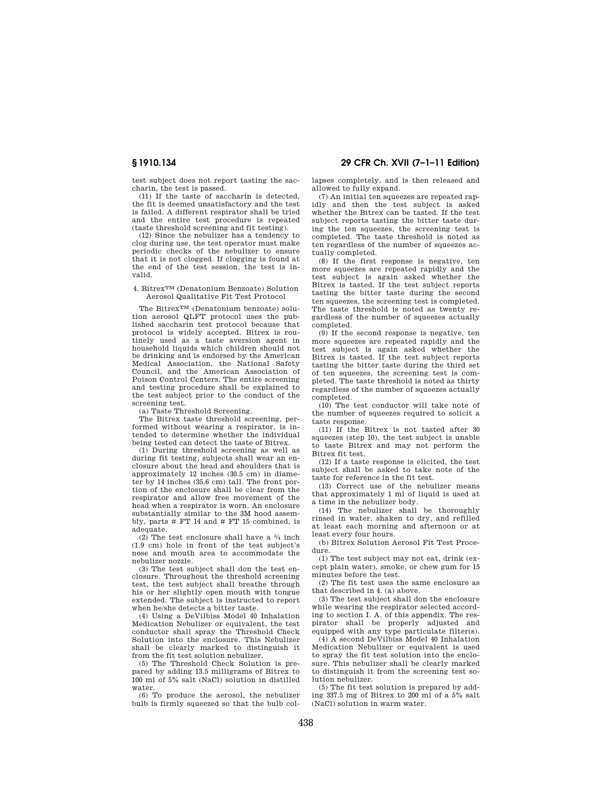test subject does not report tasting the saccharin, the test is passed.

(11) If the taste of saccharin is detected, the fit is deemed unsatisfactory and the test is failed. A different respirator shall be tried and the entire test procedure is repeated (taste threshold screening and fit testing).

(12) Since the nebulizer has a tendency to clog during use, the test operator must make periodic checks of the nebulizer to ensure that it is not clogged. If clogging is found at the end of the test session, the test is invalid.

 $4.$   $\rm Bitrex^{TM}$  (Denatonium Benzoate) Solution Aerosol Qualitative Fit Test Protocol

The BitrexTM (Denatonium benzoate) solution aerosol QLFT protocol uses the published saccharin test protocol because that protocol is widely accepted. Bitrex is routinely used as a taste aversion agent in household liquids which children should not be drinking and is endorsed by the American Medical Association, the National Safety Council, and the American Association of Poison Control Centers. The entire screening and testing procedure shall be explained to the test subject prior to the conduct of the screening test.

(a) Taste Threshold Screening.

The Bitrex taste threshold screening, performed without wearing a respirator, is intended to determine whether the individual being tested can detect the taste of Bitrex.

(1) During threshold screening as well as during fit testing, subjects shall wear an enclosure about the head and shoulders that is approximately 12 inches (30.5 cm) in diameter by 14 inches (35.6 cm) tall. The front portion of the enclosure shall be clear from the respirator and allow free movement of the head when a respirator is worn. An enclosure substantially similar to the 3M hood assembly, parts # FT 14 and # FT 15 combined, is adequate.

(2) The test enclosure shall have a  $\frac{3}{4}$  inch (1.9 cm) hole in front of the test subject's nose and mouth area to accommodate the nebulizer nozzle.

(3) The test subject shall don the test enclosure. Throughout the threshold screening test, the test subject shall breathe through his or her slightly open mouth with tongue extended. The subject is instructed to report when he/she detects a bitter taste.

(4) Using a DeVilbiss Model 40 Inhalation Medication Nebulizer or equivalent, the test conductor shall spray the Threshold Check Solution into the enclosure. This Nebulizer shall be clearly marked to distinguish it from the fit test solution nebulizer.

(5) The Threshold Check Solution is prepared by adding 13.5 milligrams of Bitrex to 100 ml of 5% salt (NaCl) solution in distilled water.

(6) To produce the aerosol, the nebulizer bulb is firmly squeezed so that the bulb col-

**§ 1910.134 29 CFR Ch. XVII (7–1–11 Edition)** 

lapses completely, and is then released and allowed to fully expand.

(7) An initial ten squeezes are repeated rapidly and then the test subject is asked whether the Bitrex can be tasted. If the test subject reports tasting the bitter taste during the ten squeezes, the screening test is completed. The taste threshold is noted as ten regardless of the number of squeezes actually completed.

(8) If the first response is negative, ten more squeezes are repeated rapidly and the test subject is again asked whether the Bitrex is tasted. If the test subject reports tasting the bitter taste during the second ten squeezes, the screening test is completed. The taste threshold is noted as twenty regardless of the number of squeezes actually completed.

(9) If the second response is negative, ten more squeezes are repeated rapidly and the test subject is again asked whether the Bitrex is tasted. If the test subject reports tasting the bitter taste during the third set of ten squeezes, the screening test is completed. The taste threshold is noted as thirty regardless of the number of squeezes actually completed.

(10) The test conductor will take note of the number of squeezes required to solicit a taste response.

(11) If the Bitrex is not tasted after 30 squeezes (step 10), the test subject is unable to taste Bitrex and may not perform the Bitrex fit test.

(12) If a taste response is elicited, the test subject shall be asked to take note of the taste for reference in the fit test.

(13) Correct use of the nebulizer means that approximately 1 ml of liquid is used at a time in the nebulizer body.

(14) The nebulizer shall be thoroughly rinsed in water, shaken to dry, and refilled at least each morning and afternoon or at least every four hours.

(b) Bitrex Solution Aerosol Fit Test Procedure.

(1) The test subject may not eat, drink (except plain water), smoke, or chew gum for 15 minutes before the test.

(2) The fit test uses the same enclosure as that described in 4. (a) above.

(3) The test subject shall don the enclosure while wearing the respirator selected according to section I. A. of this appendix. The respirator shall be properly adjusted and equipped with any type particulate filter(s).

(4) A second DeVilbiss Model 40 Inhalation Medication Nebulizer or equivalent is used to spray the fit test solution into the enclosure. This nebulizer shall be clearly marked to distinguish it from the screening test solution nebulizer.

(5) The fit test solution is prepared by adding 337.5 mg of Bitrex to 200 ml of a 5% salt (NaCl) solution in warm water.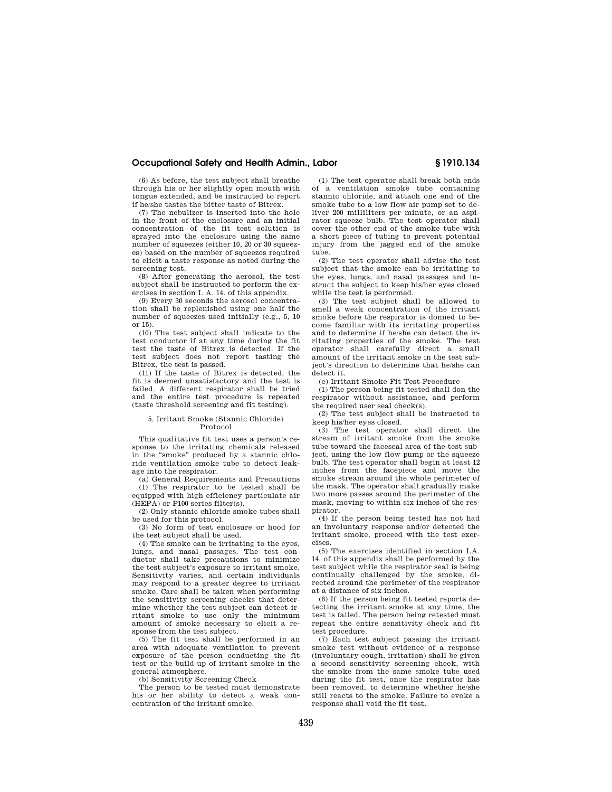(6) As before, the test subject shall breathe through his or her slightly open mouth with tongue extended, and be instructed to report if he/she tastes the bitter taste of Bitrex.

(7) The nebulizer is inserted into the hole in the front of the enclosure and an initial concentration of the fit test solution is sprayed into the enclosure using the same number of squeezes (either 10, 20 or 30 squeezes) based on the number of squeezes required to elicit a taste response as noted during the screening test.

(8) After generating the aerosol, the test subject shall be instructed to perform the exercises in section I. A. 14. of this appendix.

(9) Every 30 seconds the aerosol concentration shall be replenished using one half the number of squeezes used initially (e.g., 5, 10 or 15).

(10) The test subject shall indicate to the test conductor if at any time during the fit test the taste of Bitrex is detected. If the test subject does not report tasting the Bitrex, the test is passed.

(11) If the taste of Bitrex is detected, the fit is deemed unsatisfactory and the test is failed. A different respirator shall be tried and the entire test procedure is repeated (taste threshold screening and fit testing).

### 5. Irritant Smoke (Stannic Chloride) Protocol

This qualitative fit test uses a person's response to the irritating chemicals released in the "smoke" produced by a stannic chloride ventilation smoke tube to detect leakage into the respirator.

(a) General Requirements and Precautions (1) The respirator to be tested shall be equipped with high efficiency particulate air (HEPA) or P100 series filter(s).

(2) Only stannic chloride smoke tubes shall be used for this protocol.

(3) No form of test enclosure or hood for the test subject shall be used.

(4) The smoke can be irritating to the eyes, lungs, and nasal passages. The test conductor shall take precautions to minimize the test subject's exposure to irritant smoke. Sensitivity varies, and certain individuals may respond to a greater degree to irritant smoke. Care shall be taken when performing the sensitivity screening checks that determine whether the test subject can detect irritant smoke to use only the minimum amount of smoke necessary to elicit a response from the test subject.

(5) The fit test shall be performed in an area with adequate ventilation to prevent exposure of the person conducting the fit test or the build-up of irritant smoke in the general atmosphere.

(b) Sensitivity Screening Check

The person to be tested must demonstrate his or her ability to detect a weak concentration of the irritant smoke.

(1) The test operator shall break both ends of a ventilation smoke tube containing stannic chloride, and attach one end of the smoke tube to a low flow air pump set to deliver 200 milliliters per minute, or an aspirator squeeze bulb. The test operator shall cover the other end of the smoke tube with a short piece of tubing to prevent potential injury from the jagged end of the smoke tube.

(2) The test operator shall advise the test subject that the smoke can be irritating to the eyes, lungs, and nasal passages and instruct the subject to keep his/her eyes closed while the test is performed.

(3) The test subject shall be allowed to smell a weak concentration of the irritant smoke before the respirator is donned to become familiar with its irritating properties and to determine if he/she can detect the irritating properties of the smoke. The test operator shall carefully direct a small amount of the irritant smoke in the test subject's direction to determine that he/she can detect it.

(c) Irritant Smoke Fit Test Procedure

(1) The person being fit tested shall don the respirator without assistance, and perform the required user seal check $(s)$ .

(2) The test subject shall be instructed to keep his/her eyes closed.

(3) The test operator shall direct the stream of irritant smoke from the smoke tube toward the faceseal area of the test subject, using the low flow pump or the squeeze bulb. The test operator shall begin at least 12 inches from the facepiece and move the smoke stream around the whole perimeter of the mask. The operator shall gradually make two more passes around the perimeter of the mask, moving to within six inches of the respirator.

(4) If the person being tested has not had an involuntary response and/or detected the irritant smoke, proceed with the test exercises.

(5) The exercises identified in section I.A. 14. of this appendix shall be performed by the test subject while the respirator seal is being continually challenged by the smoke, directed around the perimeter of the respirator at a distance of six inches.

(6) If the person being fit tested reports detecting the irritant smoke at any time, the test is failed. The person being retested must repeat the entire sensitivity check and fit test procedure.

(7) Each test subject passing the irritant smoke test without evidence of a response (involuntary cough, irritation) shall be given a second sensitivity screening check, with the smoke from the same smoke tube used during the fit test, once the respirator has been removed, to determine whether he/she still reacts to the smoke. Failure to evoke a response shall void the fit test.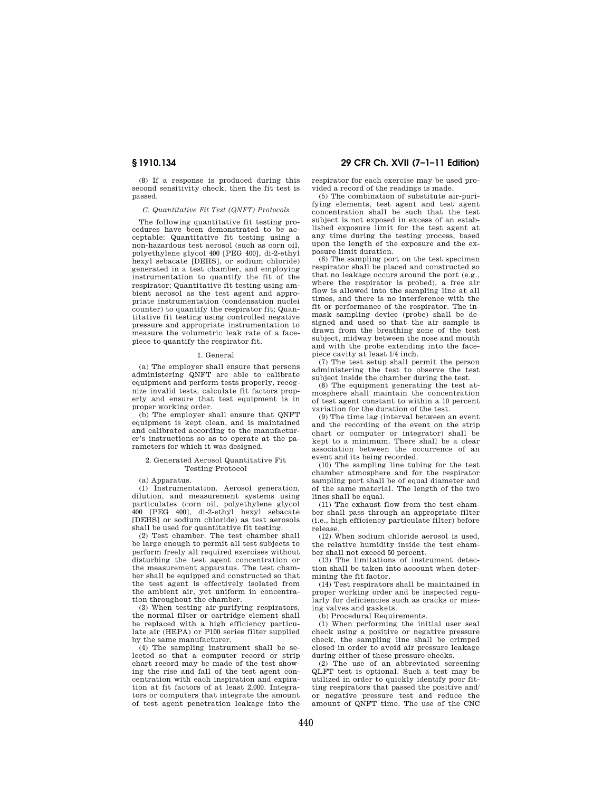(8) If a response is produced during this second sensitivity check, then the fit test is passed.

## *C. Quantitative Fit Test (QNFT) Protocols*

The following quantitative fit testing procedures have been demonstrated to be acceptable: Quantitative fit testing using a non-hazardous test aerosol (such as corn oil, polyethylene glycol 400 [PEG 400], di-2-ethyl hexyl sebacate [DEHS], or sodium chloride) generated in a test chamber, and employing instrumentation to quantify the fit of the respirator; Quantitative fit testing using ambient aerosol as the test agent and appropriate instrumentation (condensation nuclei counter) to quantify the respirator fit; Quantitative fit testing using controlled negative pressure and appropriate instrumentation to measure the volumetric leak rate of a facepiece to quantify the respirator fit.

### 1. General

(a) The employer shall ensure that persons administering QNFT are able to calibrate equipment and perform tests properly, recognize invalid tests, calculate fit factors properly and ensure that test equipment is in proper working order.

(b) The employer shall ensure that QNFT equipment is kept clean, and is maintained and calibrated according to the manufacturer's instructions so as to operate at the parameters for which it was designed.

### 2. Generated Aerosol Quantitative Fit Testing Protocol

(a) Apparatus.

(1) Instrumentation. Aerosol generation, dilution, and measurement systems using particulates (corn oil, polyethylene glycol 400 [PEG 400], di-2-ethyl hexyl sebacate [DEHS] or sodium chloride) as test aerosols shall be used for quantitative fit testing.

(2) Test chamber. The test chamber shall be large enough to permit all test subjects to perform freely all required exercises without disturbing the test agent concentration or the measurement apparatus. The test chamber shall be equipped and constructed so that the test agent is effectively isolated from the ambient air, yet uniform in concentration throughout the chamber.

(3) When testing air-purifying respirators, the normal filter or cartridge element shall be replaced with a high efficiency particulate air (HEPA) or P100 series filter supplied by the same manufacturer.

(4) The sampling instrument shall be selected so that a computer record or strip chart record may be made of the test showing the rise and fall of the test agent concentration with each inspiration and expiration at fit factors of at least 2,000. Integrators or computers that integrate the amount of test agent penetration leakage into the

## **§ 1910.134 29 CFR Ch. XVII (7–1–11 Edition)**

respirator for each exercise may be used provided a record of the readings is made.

(5) The combination of substitute air-purifying elements, test agent and test agent concentration shall be such that the test subject is not exposed in excess of an established exposure limit for the test agent at any time during the testing process, based upon the length of the exposure and the exposure limit duration.

(6) The sampling port on the test specimen respirator shall be placed and constructed so that no leakage occurs around the port (e.g., where the respirator is probed), a free air flow is allowed into the sampling line at all times, and there is no interference with the fit or performance of the respirator. The inmask sampling device (probe) shall be designed and used so that the air sample is drawn from the breathing zone of the test subject, midway between the nose and mouth and with the probe extending into the facepiece cavity at least 1/4 inch.

(7) The test setup shall permit the person administering the test to observe the test subject inside the chamber during the test.

(8) The equipment generating the test atmosphere shall maintain the concentration of test agent constant to within a 10 percent variation for the duration of the test.

(9) The time lag (interval between an event and the recording of the event on the strip chart or computer or integrator) shall be kept to a minimum. There shall be a clear association between the occurrence of an event and its being recorded.

(10) The sampling line tubing for the test chamber atmosphere and for the respirator sampling port shall be of equal diameter and of the same material. The length of the two lines shall be equal.

(11) The exhaust flow from the test chamber shall pass through an appropriate filter (i.e., high efficiency particulate filter) before release.

(12) When sodium chloride aerosol is used, the relative humidity inside the test chamber shall not exceed 50 percent.

(13) The limitations of instrument detection shall be taken into account when determining the fit factor.

(14) Test respirators shall be maintained in proper working order and be inspected regularly for deficiencies such as cracks or missing valves and gaskets.

(b) Procedural Requirements.

(1) When performing the initial user seal check using a positive or negative pressure check, the sampling line shall be crimped closed in order to avoid air pressure leakage during either of these pressure checks.

(2) The use of an abbreviated screening QLFT test is optional. Such a test may be utilized in order to quickly identify poor fitting respirators that passed the positive and/ or negative pressure test and reduce the amount of QNFT time. The use of the CNC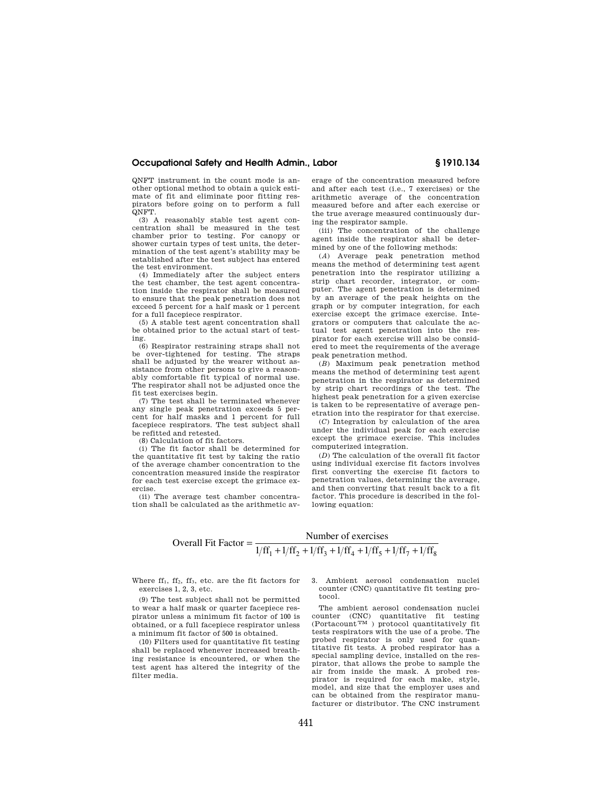QNFT instrument in the count mode is another optional method to obtain a quick estimate of fit and eliminate poor fitting respirators before going on to perform a full QNFT.

(3) A reasonably stable test agent concentration shall be measured in the test chamber prior to testing. For canopy or shower curtain types of test units, the determination of the test agent's stability may be established after the test subject has entered the test environment.

(4) Immediately after the subject enters the test chamber, the test agent concentration inside the respirator shall be measured to ensure that the peak penetration does not exceed 5 percent for a half mask or 1 percent for a full facepiece respirator.

(5) A stable test agent concentration shall be obtained prior to the actual start of testing.

(6) Respirator restraining straps shall not be over-tightened for testing. The straps shall be adjusted by the wearer without assistance from other persons to give a reasonably comfortable fit typical of normal use. The respirator shall not be adjusted once the fit test exercises begin.

(7) The test shall be terminated whenever any single peak penetration exceeds 5 percent for half masks and 1 percent for full facepiece respirators. The test subject shall be refitted and retested.

(8) Calculation of fit factors.

(i) The fit factor shall be determined for the quantitative fit test by taking the ratio of the average chamber concentration to the concentration measured inside the respirator for each test exercise except the grimace exercise.

(ii) The average test chamber concentration shall be calculated as the arithmetic average of the concentration measured before and after each test (i.e., 7 exercises) or the arithmetic average of the concentration measured before and after each exercise or the true average measured continuously during the respirator sample.

(iii) The concentration of the challenge agent inside the respirator shall be determined by one of the following methods:

(*A*) Average peak penetration method means the method of determining test agent penetration into the respirator utilizing a strip chart recorder, integrator, or computer. The agent penetration is determined by an average of the peak heights on the graph or by computer integration, for each exercise except the grimace exercise. Integrators or computers that calculate the actual test agent penetration into the respirator for each exercise will also be considered to meet the requirements of the average peak penetration method.

(*B*) Maximum peak penetration method means the method of determining test agent penetration in the respirator as determined by strip chart recordings of the test. The highest peak penetration for a given exercise is taken to be representative of average penetration into the respirator for that exercise.

(*C*) Integration by calculation of the area under the individual peak for each exercise except the grimace exercise. This includes computerized integration.

(*D*) The calculation of the overall fit factor using individual exercise fit factors involves first converting the exercise fit factors to penetration values, determining the average, and then converting that result back to a fit factor. This procedure is described in the following equation:

| Overall Fit Factor $=$ - | Number of exercises                                            |
|--------------------------|----------------------------------------------------------------|
|                          | $1/ff_1 + 1/ff_2 + 1/ff_3 + 1/ff_4 + 1/ff_5 + 1/ff_7 + 1/ff_8$ |

Where  $\mathrm{ff}_1$ ,  $\mathrm{ff}_2$ ,  $\mathrm{ff}_3$ , etc. are the fit factors for exercises 1, 2, 3, etc.

(9) The test subject shall not be permitted to wear a half mask or quarter facepiece respirator unless a minimum fit factor of 100 is obtained, or a full facepiece respirator unless a minimum fit factor of 500 is obtained.

(10) Filters used for quantitative fit testing shall be replaced whenever increased breathing resistance is encountered, or when the test agent has altered the integrity of the filter media.

3. Ambient aerosol condensation nuclei counter (CNC) quantitative fit testing protocol.

The ambient aerosol condensation nuclei counter (CNC) quantitative fit testing (Portacount TM ) protocol quantitatively fit tests respirators with the use of a probe. The probed respirator is only used for quantitative fit tests. A probed respirator has a special sampling device, installed on the respirator, that allows the probe to sample the air from inside the mask. A probed respirator is required for each make, style, model, and size that the employer uses and can be obtained from the respirator manufacturer or distributor. The CNC instrument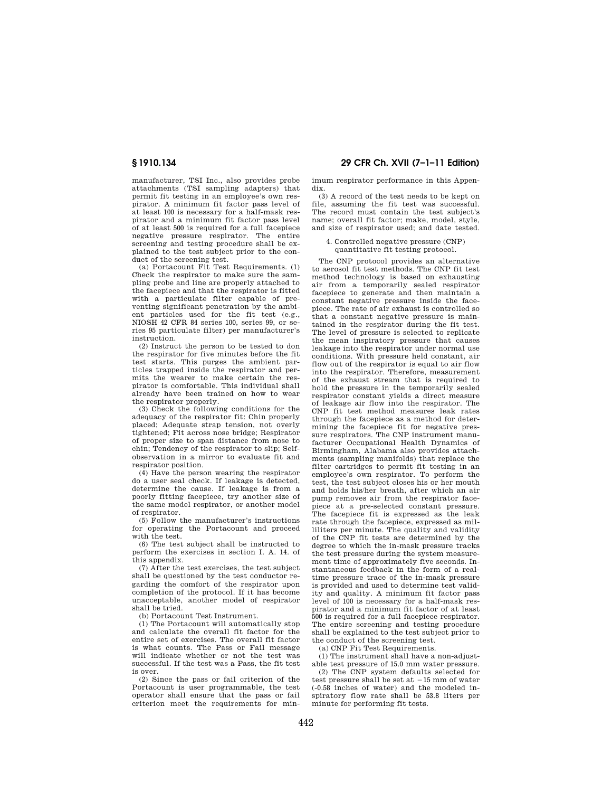manufacturer, TSI Inc., also provides probe attachments (TSI sampling adapters) that permit fit testing in an employee's own respirator. A minimum fit factor pass level of at least 100 is necessary for a half-mask respirator and a minimum fit factor pass level of at least 500 is required for a full facepiece negative pressure respirator. The entire screening and testing procedure shall be explained to the test subject prior to the conduct of the screening test.

(a) Portacount Fit Test Requirements. (1) Check the respirator to make sure the sampling probe and line are properly attached to the facepiece and that the respirator is fitted with a particulate filter capable of preventing significant penetration by the ambient particles used for the fit test (e.g., NIOSH 42 CFR 84 series 100, series 99, or series 95 particulate filter) per manufacturer's instruction.

(2) Instruct the person to be tested to don the respirator for five minutes before the fit test starts. This purges the ambient particles trapped inside the respirator and permits the wearer to make certain the respirator is comfortable. This individual shall already have been trained on how to wear the respirator properly.

(3) Check the following conditions for the adequacy of the respirator fit: Chin properly placed; Adequate strap tension, not overly tightened; Fit across nose bridge; Respirator of proper size to span distance from nose to chin; Tendency of the respirator to slip; Selfobservation in a mirror to evaluate fit and respirator position.

(4) Have the person wearing the respirator do a user seal check. If leakage is detected, determine the cause. If leakage is from a poorly fitting facepiece, try another size of the same model respirator, or another model of respirator.

(5) Follow the manufacturer's instructions for operating the Portacount and proceed with the test.

(6) The test subject shall be instructed to perform the exercises in section I. A. 14. of .<br>this appendix.

(7) After the test exercises, the test subject shall be questioned by the test conductor regarding the comfort of the respirator upon completion of the protocol. If it has become unacceptable, another model of respirator shall be tried.

(b) Portacount Test Instrument.

(1) The Portacount will automatically stop and calculate the overall fit factor for the entire set of exercises. The overall fit factor is what counts. The Pass or Fail message will indicate whether or not the test was successful. If the test was a Pass, the fit test is over.

(2) Since the pass or fail criterion of the Portacount is user programmable, the test operator shall ensure that the pass or fail criterion meet the requirements for min-

**§ 1910.134 29 CFR Ch. XVII (7–1–11 Edition)** 

imum respirator performance in this Appendix.

(3) A record of the test needs to be kept on file, assuming the fit test was successful. The record must contain the test subject's name; overall fit factor; make, model, style, and size of respirator used; and date tested.

### 4. Controlled negative pressure (CNP) quantitative fit testing protocol.

The CNP protocol provides an alternative to aerosol fit test methods. The CNP fit test method technology is based on exhausting air from a temporarily sealed respirator facepiece to generate and then maintain a constant negative pressure inside the facepiece. The rate of air exhaust is controlled so that a constant negative pressure is maintained in the respirator during the fit test. The level of pressure is selected to replicate the mean inspiratory pressure that causes leakage into the respirator under normal use conditions. With pressure held constant, air flow out of the respirator is equal to air flow into the respirator. Therefore, measurement of the exhaust stream that is required to hold the pressure in the temporarily sealed respirator constant yields a direct measure of leakage air flow into the respirator. The CNP fit test method measures leak rates through the facepiece as a method for determining the facepiece fit for negative pressure respirators. The CNP instrument manufacturer Occupational Health Dynamics of Birmingham, Alabama also provides attachments (sampling manifolds) that replace the filter cartridges to permit fit testing in an employee's own respirator. To perform the test, the test subject closes his or her mouth and holds his/her breath, after which an air pump removes air from the respirator facepiece at a pre-selected constant pressure. The facepiece fit is expressed as the leak rate through the facepiece, expressed as milliliters per minute. The quality and validity of the CNP fit tests are determined by the degree to which the in-mask pressure tracks the test pressure during the system measurement time of approximately five seconds. Instantaneous feedback in the form of a realtime pressure trace of the in-mask pressure is provided and used to determine test validity and quality. A minimum fit factor pass level of 100 is necessary for a half-mask respirator and a minimum fit factor of at least 500 is required for a full facepiece respirator. The entire screening and testing procedure shall be explained to the test subject prior to the conduct of the screening test.

(a) CNP Fit Test Requirements.

(1) The instrument shall have a non-adjustable test pressure of 15.0 mm water pressure.

(2) The CNP system defaults selected for test pressure shall be set at  $-15$  mm of water (-0.58 inches of water) and the modeled inspiratory flow rate shall be 53.8 liters per minute for performing fit tests.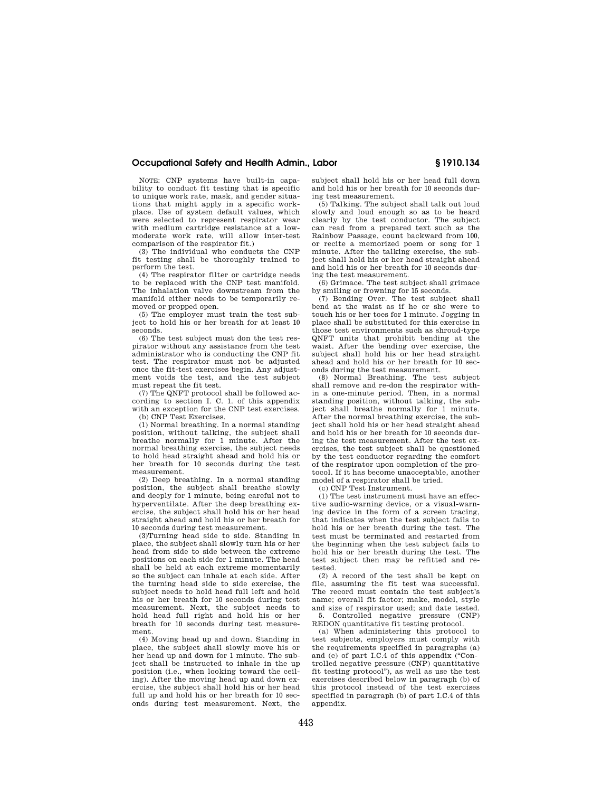NOTE: CNP systems have built-in capability to conduct fit testing that is specific to unique work rate, mask, and gender situations that might apply in a specific workplace. Use of system default values, which were selected to represent respirator wear with medium cartridge resistance at a lowmoderate work rate, will allow inter-test comparison of the respirator fit.)

(3) The individual who conducts the CNP fit testing shall be thoroughly trained to perform the test.

(4) The respirator filter or cartridge needs to be replaced with the CNP test manifold. The inhalation valve downstream from the manifold either needs to be temporarily removed or propped open.

(5) The employer must train the test subject to hold his or her breath for at least 10 seconds.

(6) The test subject must don the test respirator without any assistance from the test administrator who is conducting the CNP fit test. The respirator must not be adjusted once the fit-test exercises begin. Any adjustment voids the test, and the test subject must repeat the fit test.

(7) The QNFT protocol shall be followed according to section I. C. 1. of this appendix with an exception for the CNP test exercises. (b) CNP Test Exercises.

(1) Normal breathing. In a normal standing position, without talking, the subject shall breathe normally for 1 minute. After the normal breathing exercise, the subject needs to hold head straight ahead and hold his or her breath for 10 seconds during the test measurement.

(2) Deep breathing. In a normal standing position, the subject shall breathe slowly and deeply for 1 minute, being careful not to hyperventilate. After the deep breathing exercise, the subject shall hold his or her head straight ahead and hold his or her breath for 10 seconds during test measurement.

(3)Turning head side to side. Standing in place, the subject shall slowly turn his or her head from side to side between the extreme positions on each side for 1 minute. The head shall be held at each extreme momentarily so the subject can inhale at each side. After the turning head side to side exercise, the subject needs to hold head full left and hold his or her breath for 10 seconds during test measurement. Next, the subject needs to hold head full right and hold his or her breath for 10 seconds during test measurement.

(4) Moving head up and down. Standing in place, the subject shall slowly move his or her head up and down for 1 minute. The subject shall be instructed to inhale in the up position (i.e., when looking toward the ceiling). After the moving head up and down exercise, the subject shall hold his or her head full up and hold his or her breath for 10 seconds during test measurement. Next, the subject shall hold his or her head full down and hold his or her breath for 10 seconds during test measurement.

(5) Talking. The subject shall talk out loud slowly and loud enough so as to be heard clearly by the test conductor. The subject can read from a prepared text such as the Rainbow Passage, count backward from 100, or recite a memorized poem or song for 1 minute. After the talking exercise, the subject shall hold his or her head straight ahead and hold his or her breath for 10 seconds during the test measurement.

(6) Grimace. The test subject shall grimace by smiling or frowning for 15 seconds.

(7) Bending Over. The test subject shall bend at the waist as if he or she were to touch his or her toes for 1 minute. Jogging in place shall be substituted for this exercise in those test environments such as shroud-type QNFT units that prohibit bending at the waist. After the bending over exercise, the subject shall hold his or her head straight ahead and hold his or her breath for 10 seconds during the test measurement.

(8) Normal Breathing. The test subject shall remove and re-don the respirator within a one-minute period. Then, in a normal standing position, without talking, the subject shall breathe normally for 1 minute. After the normal breathing exercise, the subject shall hold his or her head straight ahead and hold his or her breath for 10 seconds during the test measurement. After the test exercises, the test subject shall be questioned by the test conductor regarding the comfort of the respirator upon completion of the protocol. If it has become unacceptable, another model of a respirator shall be tried.

(c) CNP Test Instrument.

(1) The test instrument must have an effective audio-warning device, or a visual-warning device in the form of a screen tracing, that indicates when the test subject fails to hold his or her breath during the test. The test must be terminated and restarted from the beginning when the test subject fails to hold his or her breath during the test. The test subject then may be refitted and retested.

(2) A record of the test shall be kept on file, assuming the fit test was successful. The record must contain the test subject's name; overall fit factor; make, model, style and size of respirator used; and date tested. 5. Controlled negative pressure (CNP)

REDON quantitative fit testing protocol.

(a) When administering this protocol to test subjects, employers must comply with the requirements specified in paragraphs (a) and (c) of part I.C.4 of this appendix (''Controlled negative pressure (CNP) quantitative fit testing protocol''), as well as use the test exercises described below in paragraph (b) of this protocol instead of the test exercises specified in paragraph (b) of part I.C.4 of this appendix.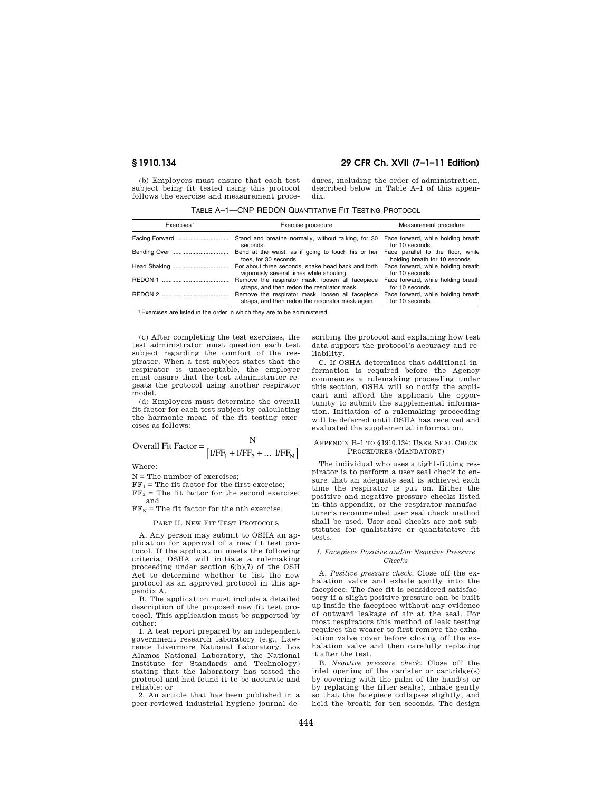**§ 1910.134 29 CFR Ch. XVII (7–1–11 Edition)** 

(b) Employers must ensure that each test subject being fit tested using this protocol follows the exercise and measurement procedures, including the order of administration. described below in Table A–1 of this appendix.

|  |  | TABLE A-1—CNP REDON QUANTITATIVE FIT TESTING PROTOCOL |  |  |
|--|--|-------------------------------------------------------|--|--|
|  |  |                                                       |  |  |

| Exercises <sup>1</sup> | Exercise procedure                                                                                            | Measurement procedure                                 |
|------------------------|---------------------------------------------------------------------------------------------------------------|-------------------------------------------------------|
| Facing Forward         | Stand and breathe normally, without talking, for 30   Face forward, while holding breath<br>seconds.          | for 10 seconds.                                       |
|                        | Bend at the waist, as if going to touch his or her Face parallel to the floor, while<br>toes, for 30 seconds. | holding breath for 10 seconds                         |
|                        | For about three seconds, shake head back and forth  <br>vigorously several times while shouting.              | Face forward, while holding breath<br>for 10 seconds  |
|                        | Remove the respirator mask, loosen all facepiece<br>straps, and then redon the respirator mask.               | Face forward, while holding breath<br>for 10 seconds. |
|                        | Remove the respirator mask, loosen all facepiece<br>straps, and then redon the respirator mask again.         | Face forward, while holding breath<br>for 10 seconds. |

1Exercises are listed in the order in which they are to be administered.

(c) After completing the test exercises, the test administrator must question each test subject regarding the comfort of the respirator. When a test subject states that the respirator is unacceptable, the employer must ensure that the test administrator repeats the protocol using another respirator model.

(d) Employers must determine the overall fit factor for each test subject by calculating the harmonic mean of the fit testing exercises as follows:

Overall Fit Factor = 
$$
\frac{N}{[I/FF_1 + I/FF_2 + ... I/FF_N]}
$$

Where:

N = The number of exercises;

 $\mathbf{FF}_1 = \mathbf{The\ fit\ factor\ for\ the\ first\ exercise; }$ 

 $FF<sub>2</sub>$  = The fit factor for the second exercise;

and  $FF_N$  = The fit factor for the nth exercise.

## PART II. NEW FIT TEST PROTOCOLS

A. Any person may submit to OSHA an application for approval of a new fit test protocol. If the application meets the following criteria, OSHA will initiate a rulemaking proceeding under section 6(b)(7) of the OSH Act to determine whether to list the new protocol as an approved protocol in this appendix A.

B. The application must include a detailed description of the proposed new fit test protocol. This application must be supported by either:

1. A test report prepared by an independent government research laboratory (e.g., Lawrence Livermore National Laboratory, Los Alamos National Laboratory, the National Institute for Standards and Technology) stating that the laboratory has tested the protocol and had found it to be accurate and reliable; or

2. An article that has been published in a peer-reviewed industrial hygiene journal describing the protocol and explaining how test data support the protocol's accuracy and reliability.

C. If OSHA determines that additional information is required before the Agency commences a rulemaking proceeding under this section, OSHA will so notify the applicant and afford the applicant the opportunity to submit the supplemental information. Initiation of a rulemaking proceeding will be deferred until OSHA has received and evaluated the supplemental information.

### APPENDIX B–1 TO §1910.134: USER SEAL CHECK PROCEDURES (MANDATORY)

The individual who uses a tight-fitting respirator is to perform a user seal check to ensure that an adequate seal is achieved each time the respirator is put on. Either the positive and negative pressure checks listed in this appendix, or the respirator manufacturer's recommended user seal check method shall be used. User seal checks are not substitutes for qualitative or quantitative fit tests.

### *I. Facepiece Positive and/or Negative Pressure Checks*

A. *Positive pressure check.* Close off the exhalation valve and exhale gently into the facepiece. The face fit is considered satisfactory if a slight positive pressure can be built up inside the facepiece without any evidence of outward leakage of air at the seal. For most respirators this method of leak testing requires the wearer to first remove the exhalation valve cover before closing off the exhalation valve and then carefully replacing it after the test.

B. *Negative pressure check.* Close off the inlet opening of the canister or cartridge(s) by covering with the palm of the hand(s) or by replacing the filter seal(s), inhale gently so that the facepiece collapses slightly, and hold the breath for ten seconds. The design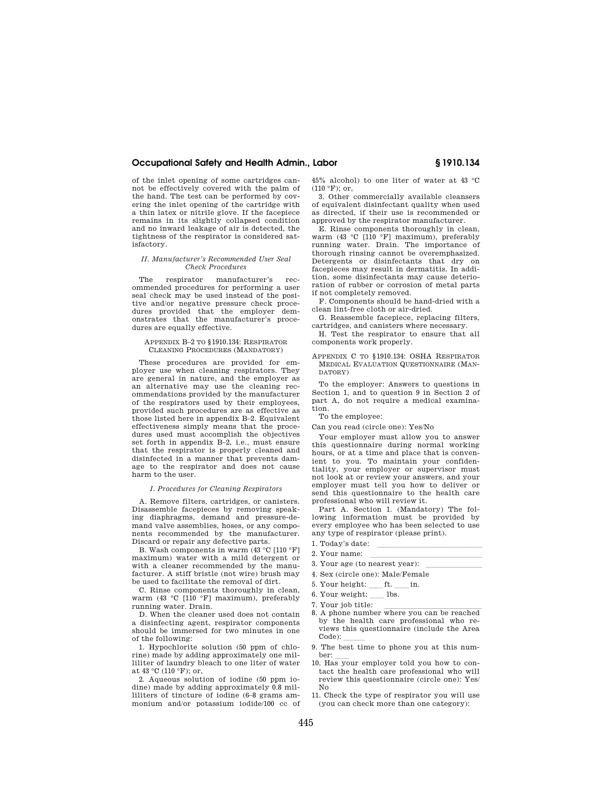of the inlet opening of some cartridges cannot be effectively covered with the palm of the hand. The test can be performed by covering the inlet opening of the cartridge with a thin latex or nitrile glove. If the facepiece remains in its slightly collapsed condition and no inward leakage of air is detected, the tightness of the respirator is considered satisfactory.

### *II. Manufacturer's Recommended User Seal Check Procedures*

The respirator manufacturer's recommended procedures for performing a user seal check may be used instead of the positive and/or negative pressure check procedures provided that the employer demonstrates that the manufacturer's procedures are equally effective.

### APPENDIX B–2 TO §1910.134: RESPIRATOR CLEANING PROCEDURES (MANDATORY)

These procedures are provided for employer use when cleaning respirators. They are general in nature, and the employer as an alternative may use the cleaning recommendations provided by the manufacturer of the respirators used by their employees, provided such procedures are as effective as those listed here in appendix B–2. Equivalent effectiveness simply means that the procedures used must accomplish the objectives set forth in appendix B–2, i.e., must ensure that the respirator is properly cleaned and disinfected in a manner that prevents damage to the respirator and does not cause harm to the user.

## *I. Procedures for Cleaning Respirators*

A. Remove filters, cartridges, or canisters. Disassemble facepieces by removing speaking diaphragms, demand and pressure-demand valve assemblies, hoses, or any components recommended by the manufacturer. Discard or repair any defective parts.

B. Wash components in warm (43 °C [110 °F] maximum) water with a mild detergent or with a cleaner recommended by the manufacturer. A stiff bristle (not wire) brush may be used to facilitate the removal of dirt.

C. Rinse components thoroughly in clean, warm (43 °C [110 °F] maximum), preferably running water. Drain.

D. When the cleaner used does not contain a disinfecting agent, respirator components should be immersed for two minutes in one of the following:

1. Hypochlorite solution (50 ppm of chlorine) made by adding approximately one milliliter of laundry bleach to one liter of water at 43 °C (110 °F); or,

2. Aqueous solution of iodine (50 ppm iodine) made by adding approximately 0.8 milliliters of tincture of iodine (6–8 grams ammonium and/or potassium iodide/100 cc of

45% alcohol) to one liter of water at 43 °C (110  $^\circ\mathrm{F});$  or,

3. Other commercially available cleansers of equivalent disinfectant quality when used as directed, if their use is recommended or approved by the respirator manufacturer.

E. Rinse components thoroughly in clean, warm (43 °C [110 °F] maximum), preferably running water. Drain. The importance of thorough rinsing cannot be overemphasized. Detergents or disinfectants that dry on facepieces may result in dermatitis. In addition, some disinfectants may cause deterioration of rubber or corrosion of metal parts if not completely removed.

F. Components should be hand-dried with a clean lint-free cloth or air-dried.

G. Reassemble facepiece, replacing filters, cartridges, and canisters where necessary.

H. Test the respirator to ensure that all components work properly.

APPENDIX C TO §1910.134: OSHA RESPIRATOR MEDICAL EVALUATION QUESTIONNAIRE (MAN-DATORY)

To the employer: Answers to questions in Section 1, and to question 9 in Section 2 of part A, do not require a medical examination.

To the employee:

Can you read (circle one): Yes/No

Your employer must allow you to answer this questionnaire during normal working hours, or at a time and place that is convenient to you. To maintain your confidentiality, your employer or supervisor must not look at or review your answers, and your employer must tell you how to deliver or send this questionnaire to the health care professional who will review it.

Part A. Section 1. (Mandatory) The following information must be provided by every employee who has been selected to use any type of respirator (please print).

- 1. Today's date:
- 2. Your name:
- 3. Your age (to nearest year):
- 4. Sex (circle one): Male/Female
- 5. Your height:  $\_\_$ ft.  $\_\_$ in.
- 
- 6. Your weight:  $\frac{1}{10}$  lbs.<br>7. Your job title:
- 7. Your job title:<br>8. A phone number where you can be reached by the health care professional who reviews this questionnaire (include the Area Code): lll 9. The best time to phone you at this num-
- ber: ll 10. Has your employer told you how to con-
- tact the health care professional who will review this questionnaire (circle one): Yes/ No
- 11. Check the type of respirator you will use (you can check more than one category):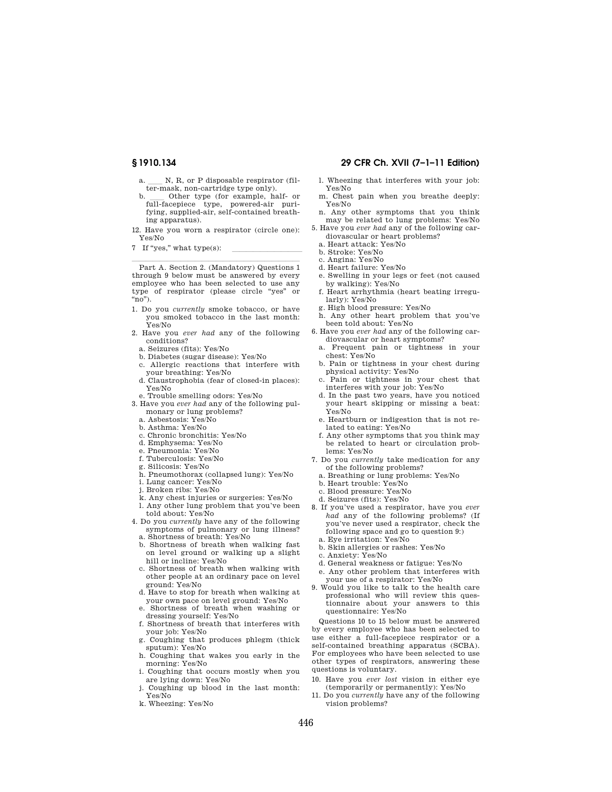- a. N, R, or P disposable respirator (filter-mask, non-cartridge type only).<br>b. \_\_\_\_\_ Other type (for example, half- or
- b. \_\_\_\_ Other type (for example, half- or full-facepiece type, powered-air purifying, supplied-air, self-contained breathing apparatus).
- 12. Have you worn a respirator (circle one): Yes/No
- 7 If "yes," what  $type(s)$ :

Part A. Section 2. (Mandatory) Questions 1 through 9 below must be answered by every employee who has been selected to use any type of respirator (please circle "yes" or " $no$ ").

- 1. Do you *currently* smoke tobacco, or have you smoked tobacco in the last month: Yes/No
- 2. Have you *ever had* any of the following conditions?
	- a. Seizures (fits): Yes/No
- b. Diabetes (sugar disease): Yes/No
- c. Allergic reactions that interfere with your breathing: Yes/No
- d. Claustrophobia (fear of closed-in places): Yes/No
- e. Trouble smelling odors: Yes/No 3. Have you *ever had* any of the following pul-
- monary or lung problems?
- a. Asbestosis: Yes/No
- b. Asthma: Yes/No
- c. Chronic bronchitis: Yes/No
- d. Emphysema: Yes/No
- e. Pneumonia: Yes/No
- f. Tuberculosis: Yes/No
- g. Silicosis: Yes/No
- h. Pneumothorax (collapsed lung): Yes/No
- i. Lung cancer: Yes/No
- j. Broken ribs: Yes/No
- k. Any chest injuries or surgeries: Yes/No
- l. Any other lung problem that you've been told about: Yes/No
- 4. Do you *currently* have any of the following symptoms of pulmonary or lung illness? a. Shortness of breath: Yes/No
	- b. Shortness of breath when walking fast on level ground or walking up a slight hill or incline: Yes/No
	- c. Shortness of breath when walking with other people at an ordinary pace on level ground: Yes/No
- d. Have to stop for breath when walking at your own pace on level ground: Yes/No
- e. Shortness of breath when washing or dressing yourself: Yes/No
- f. Shortness of breath that interferes with your job: Yes/No
- g. Coughing that produces phlegm (thick sputum): Yes/No
- h. Coughing that wakes you early in the morning: Yes/No
- i. Coughing that occurs mostly when you are lying down: Yes/No
- j. Coughing up blood in the last month: Yes/No
- k. Wheezing: Yes/No

## **§ 1910.134 29 CFR Ch. XVII (7–1–11 Edition)**

- l. Wheezing that interferes with your job: Yes/No
- m. Chest pain when you breathe deeply: Yes/No
- n. Any other symptoms that you think may be related to lung problems: Yes/No
- 5. Have you *ever had* any of the following cardiovascular or heart problems?
	- a. Heart attack: Yes/No
- b. Stroke: Yes/No
- c. Angina: Yes/No d. Heart failure: Yes/No
- 
- e. Swelling in your legs or feet (not caused by walking): Yes/No f. Heart arrhythmia (heart beating irregu-
- larly): Yes/No
- g. High blood pressure: Yes/No
- h. Any other heart problem that you've been told about: Yes/No
- 6. Have you *ever had* any of the following cardiovascular or heart symptoms?
	- a. Frequent pain or tightness in your chest: Yes/No
	- b. Pain or tightness in your chest during physical activity: Yes/No
	- c. Pain or tightness in your chest that interferes with your job: Yes/No
- d. In the past two years, have you noticed your heart skipping or missing a beat: Yes/No
- e. Heartburn or indigestion that is not related to eating: Yes/No
- f. Any other symptoms that you think may be related to heart or circulation problems: Yes/No
- 7. Do you *currently* take medication for any of the following problems?
- a. Breathing or lung problems: Yes/No
- b. Heart trouble: Yes/No
- c. Blood pressure: Yes/No
- d. Seizures (fits): Yes/No
- 8. If you've used a respirator, have you *ever had* any of the following problems? (If you've never used a respirator, check the following space and go to question  $9$ )
	- a. Eye irritation: Yes/No
	- b. Skin allergies or rashes: Yes/No
	- c. Anxiety: Yes/No
	- d. General weakness or fatigue: Yes/No
	- e. Any other problem that interferes with your use of a respirator: Yes/No
- 9. Would you like to talk to the health care professional who will review this questionnaire about your answers to this questionnaire: Yes/No

Questions 10 to 15 below must be answered by every employee who has been selected to use either a full-facepiece respirator or a self-contained breathing apparatus (SCBA). For employees who have been selected to use other types of respirators, answering these questions is voluntary.

- 10. Have you *ever lost* vision in either eye (temporarily or permanently): Yes/No
- 11. Do you *currently* have any of the following vision problems?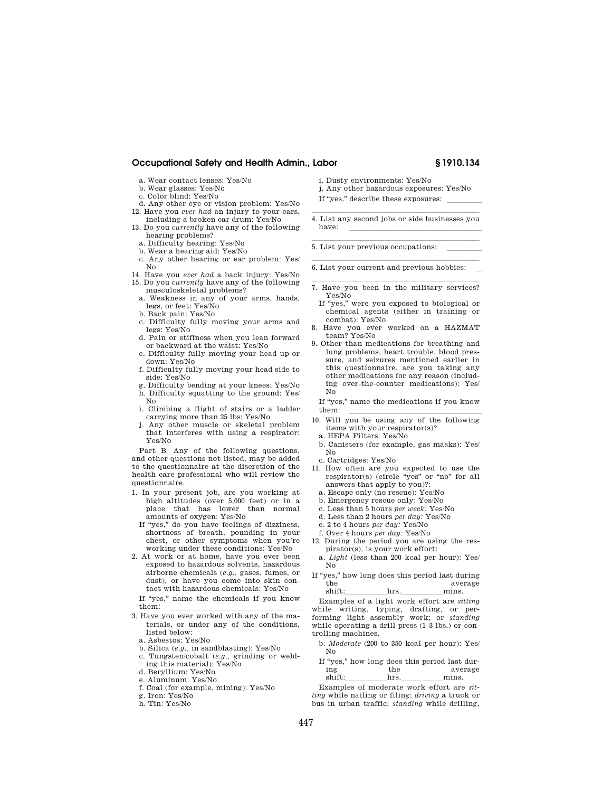- a. Wear contact lenses: Yes/No
- b. Wear glasses: Yes/No c. Color blind: Yes/No
- 
- d. Any other eye or vision problem: Yes/No 12. Have you *ever had* an injury to your ears, including a broken ear drum: Yes/No
- 13. Do you *currently* have any of the following
	- hearing problems?
	- a. Difficulty hearing: Yes/No
	- b. Wear a hearing aid: Yes/No
- c. Any other hearing or ear problem: Yes/ No
- 14. Have you *ever had* a back injury: Yes/No 15. Do you *currently* have any of the following
- musculoskeletal problems? a. Weakness in any of your arms, hands,
- legs, or feet: Yes/No
- b. Back pain: Yes/No
- c. Difficulty fully moving your arms and legs: Yes/No
- d. Pain or stiffness when you lean forward or backward at the waist: Yes/No
- e. Difficulty fully moving your head up or down: Yes/No
- f. Difficulty fully moving your head side to side: Yes/No
- g. Difficulty bending at your knees: Yes/No h. Difficulty squatting to the ground: Yes/ No
- i. Climbing a flight of stairs or a ladder carrying more than 25 lbs: Yes/No
- j. Any other muscle or skeletal problem that interferes with using a respirator: Yes/No

Part B Any of the following questions, and other questions not listed, may be added to the questionnaire at the discretion of the health care professional who will review the questionnaire.

- 1. In your present job, are you working at high altitudes (over 5,000 feet) or in a place that has lower than normal amounts of oxygen: Yes/No
- If "yes," do you have feelings of dizziness, shortness of breath, pounding in your chest, or other symptoms when you're working under these conditions: Yes/No
- 2. At work or at home, have you ever been exposed to hazardous solvents, hazardous airborne chemicals (*e.g.,* gases, fumes, or dust), or have you come into skin contact with hazardous chemicals: Yes/No
- If "yes," name the chemicals if you know them:<br>3. Have you ever worked with any of the ma-
- terials, or under any of the conditions, listed below:
- a. Asbestos: Yes/No
- b. Silica (*e.g.,* in sandblasting): Yes/No
- c. Tungsten/cobalt (*e.g.,* grinding or welding this material): Yes/No
- d. Beryllium: Yes/No
- e. Aluminum: Yes/No
- f. Coal (for example, mining): Yes/No
- g. Iron: Yes/No
- h. Tin: Yes/No
- i. Dusty environments: Yes/No
- j. Any other hazardous exposures: Yes/No
- If "yes," describe these exposures:
- $\overline{4.}$  List any second jobs or side businesses you have:  $\frac{1}{\sqrt{1-\frac{1}{\sqrt{1-\frac{1}{\sqrt{1-\frac{1}{\sqrt{1-\frac{1}{\sqrt{1-\frac{1}{\sqrt{1-\frac{1}{\sqrt{1-\frac{1}{\sqrt{1-\frac{1}{\sqrt{1-\frac{1}{\sqrt{1-\frac{1}{\sqrt{1-\frac{1}{\sqrt{1-\frac{1}{\sqrt{1-\frac{1}{\sqrt{1-\frac{1}{\sqrt{1-\frac{1}{\sqrt{1-\frac{1}{\sqrt{1-\frac{1}{\sqrt{1-\frac{1}{\sqrt{1-\frac{1}{\sqrt{1-\frac{1}{\sqrt{1-\frac{1}{\sqrt{1-\frac{1}{\sqrt{1-\frac{1}{\sqrt$

 $\overline{\phantom{a}}$ . List your previous occupations:

- llllllllllllllllllllllll 6. List your current and previous hobbies: l
- $\overline{\phantom{a}}$ . Have you been in the military services? Yes/No
- If "yes," were you exposed to biological or chemical agents (either in training or combat): Yes/No
- 8. Have you ever worked on a HAZMAT team? Yes/No
- 9. Other than medications for breathing and lung problems, heart trouble, blood pressure, and seizures mentioned earlier in this questionnaire, are you taking any other medications for any reason (including over-the-counter medications): Yes/ No

If "yes," name the medications if you know

- them:  $\frac{10}{10}$  less using any of the following items with your respirator(s)?
- a. HEPA Filters: Yes/No
- b. Canisters (for example, gas masks): Yes/ No
- c. Cartridges: Yes/No
- 11. How often are you expected to use the respirator(s) (circle "yes" or "no" for all answers that apply to you)?:
	- a. Escape only (no rescue): Yes/No
	- b. Emergency rescue only: Yes/No
	- c. Less than 5 hours *per week:* Yes/No
	- d. Less than 2 hours *per day:* Yes/No
	- e. 2 to 4 hours *per day:* Yes/No
	- f. Over 4 hours *per day:* Yes/No
- 12. During the period you are using the respirator(s), is your work effort: a. *Light* (less than 200 kcal per hour): Yes/
- No If "yes," how long does this period last during<br>the average average
	-

shift:\_\_\_\_\_\_\_\_\_hrs.\_\_\_\_\_\_\_\_\_\_\_mins.<br>Examples of a light work effort are *sitting* while writing, typing, drafting, or performing light assembly work; or *standing*  while operating a drill press (1–3 lbs.) or controlling machines.

- b. *Moderate* (200 to 350 kcal per hour): Yes/ No
- If "yes," how long does this period last dur-<br> $\frac{1}{2}$  average the average ing the average shift: hrs. mins.<br>Examples of moderate work effort are *sit-*

*ting* while nailing or filing; *driving* a truck or bus in urban traffic; *standing* while drilling,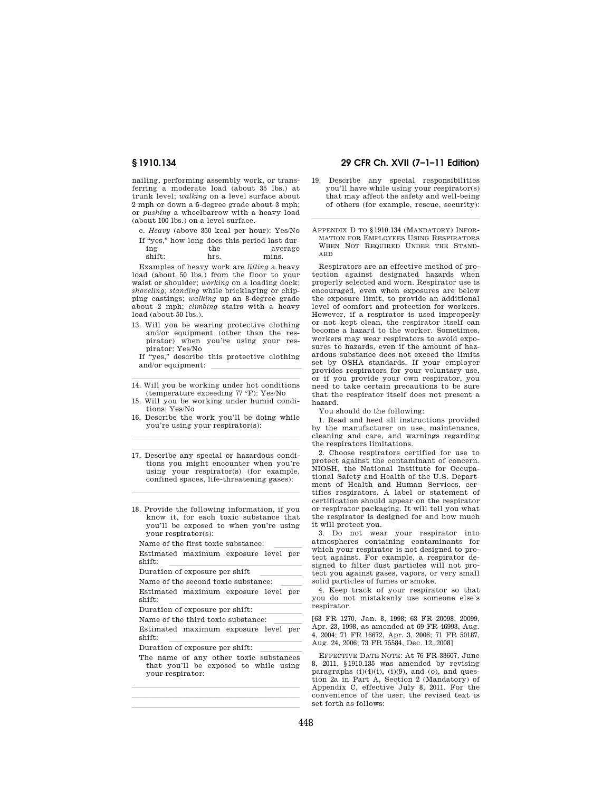nailing, performing assembly work, or transferring a moderate load (about 35 lbs.) at trunk level; *walking* on a level surface about 2 mph or down a 5-degree grade about 3 mph; or *pushing* a wheelbarrow with a heavy load (about 100 lbs.) on a level surface.

- c. *Heavy* (above 350 kcal per hour): Yes/No If "yes," how long does this period last dur-<br>ing the average
- ing the average shift:llllllhrs.llllllmins. Examples of heavy work are *lifting* a heavy

load (about 50 lbs.) from the floor to your waist or shoulder; *working* on a loading dock; *shoveling; standing* while bricklaying or chipping castings; *walking* up an 8-degree grade about 2 mph; *climbing* stairs with a heavy load (about 50 lbs.).

13. Will you be wearing protective clothing and/or equipment (other than the respirator) when you're using your respirator: Yes/No

If "yes," describe this protective clothing and/or equipment:

- 14. Will you be working under hot conditions (temperature exceeding 77 °F): Yes/No
- 15. Will you be working under humid conditions: Yes/No
- 16. Describe the work you'll be doing while you're using your respirator(s): llland i senator and a senator and a senator and a senator and a senator and a senator and
- 17. Describe any special or hazardous conditions you might encounter when you're using your respirator(s) (for example, confined spaces, life-threatening gases):

llland i senator and a senator and a senator and a senator and a senator and a senator and

- $\overline{18}$ . Provide the following information, if you know it, for each toxic substance that you'll be exposed to when you're using your respirator(s):
- Name of the first toxic substance: Estimated maximum exposure level per

shift:<br>Departies of experience per shift

- Duration of exposure per shift  $\frac{1}{\text{Nons of the second toris substance}}$ Name of the second toxic substance:
- Estimated maximum exposure level per
- shift:<br>Dunstian of sympaure non shift.
- Duration of exposure per shift:<br>News af the third terms unhatened Name of the third toxic substance:
- Estimated maximum exposure level per shift:<br>Dunation of expecure per shift.
- Duration of exposure per shift:  $\frac{1}{\text{m}}$
- The name of any other toxic substances that you'll be exposed to while using your respirator:

lllalla sin anno 1980. I se anno 1980 anno 1980 anno 1980 anno 1980 anno 1980 anno 1980. llland i senator and a senator and a senator and a senator and a senator and a senator and llland av den stadsmannsna og stadsmannsna og stadsmannsna og stadsmannsna og stadsmannsna og stadsmannsna og

## **§ 1910.134 29 CFR Ch. XVII (7–1–11 Edition)**

- 19. Describe any special responsibilities you'll have while using your respirator(s) that may affect the safety and well-being of others (for example, rescue, security):
- APPENDIX D TO §1910.134 (MANDATORY) INFOR-MATION FOR EMPLOYEES USING RESPIRATORS WHEN NOT REQUIRED UNDER THE STAND-ARD

llland av den stadsmannsna og stadsmannsna og stadsmannsna og stadsmannsna og stadsmannsna og stadsmannsna og

Respirators are an effective method of protection against designated hazards when properly selected and worn. Respirator use is encouraged, even when exposures are below the exposure limit, to provide an additional level of comfort and protection for workers. However, if a respirator is used improperly or not kept clean, the respirator itself can become a hazard to the worker. Sometimes, workers may wear respirators to avoid exposures to hazards, even if the amount of hazardous substance does not exceed the limits set by OSHA standards. If your employer provides respirators for your voluntary use, or if you provide your own respirator, you need to take certain precautions to be sure that the respirator itself does not present a hazard.

You should do the following:

1. Read and heed all instructions provided by the manufacturer on use, maintenance, cleaning and care, and warnings regarding the respirators limitations.

2. Choose respirators certified for use to protect against the contaminant of concern. NIOSH, the National Institute for Occupational Safety and Health of the U.S. Department of Health and Human Services, certifies respirators. A label or statement of certification should appear on the respirator or respirator packaging. It will tell you what the respirator is designed for and how much it will protect you.

3. Do not wear your respirator into atmospheres containing contaminants for which your respirator is not designed to protect against. For example, a respirator designed to filter dust particles will not protect you against gases, vapors, or very small solid particles of fumes or smoke.

4. Keep track of your respirator so that you do not mistakenly use someone else's respirator.

[63 FR 1270, Jan. 8, 1998; 63 FR 20098, 20099, Apr. 23, 1998, as amended at 69 FR 46993, Aug. 4, 2004; 71 FR 16672, Apr. 3, 2006; 71 FR 50187, Aug. 24, 2006; 73 FR 75584, Dec. 12, 2008]

EFFECTIVE DATE NOTE: At 76 FR 33607, June 8, 2011, §1910.135 was amended by revising paragraphs  $(i)(4)(i)$ ,  $(i)(9)$ , and  $(0)$ , and question 2a in Part A, Section 2 (Mandatory) of Appendix C, effective July 8, 2011. For the convenience of the user, the revised text is set forth as follows: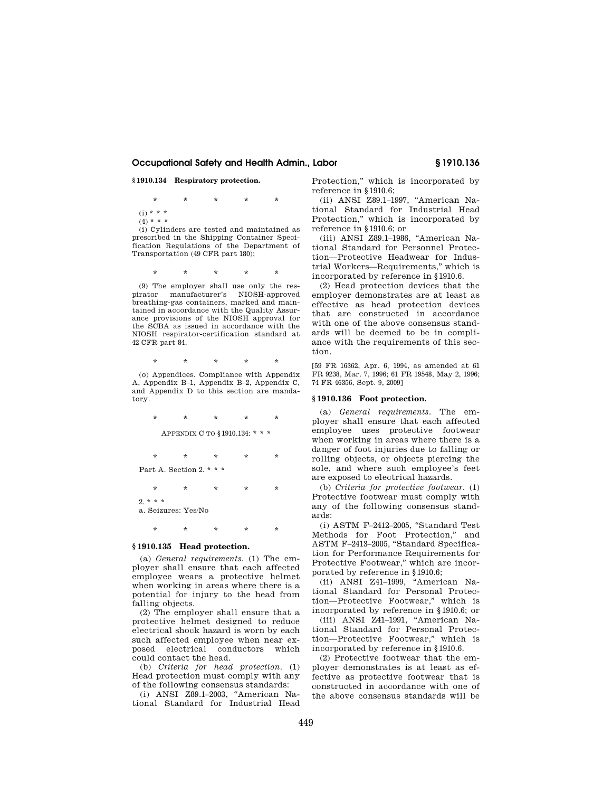**§ 1910.134 Respiratory protection.** 

\* \* \* \* \*  $(i) * * * *$  $(4) * * *$ (i) Cylinders are tested and maintained as

prescribed in the Shipping Container Specification Regulations of the Department of Transportation (49 CFR part 180);

\* \* \* \* \*

(9) The employer shall use only the respirator manufacturer's NIOSH-approved breathing-gas containers, marked and maintained in accordance with the Quality Assurance provisions of the NIOSH approval for the SCBA as issued in accordance with the NIOSH respirator-certification standard at 42 CFR part 84.

\* \* \* \* \*

(o) Appendices. Compliance with Appendix A, Appendix B–1, Appendix B–2, Appendix C, and Appendix D to this section are mandatory.

\* \* \* \* \* APPENDIX C TO §1910.134: \* \* \* \* \* \* \* \* Part A. Section 2. \* \* \* \* \* \* \* \*  $2. * * *$ a. Seizures: Yes/No

\* \* \* \* \*

## **§ 1910.135 Head protection.**

(a) *General requirements.* (1) The employer shall ensure that each affected employee wears a protective helmet when working in areas where there is a potential for injury to the head from falling objects.

(2) The employer shall ensure that a protective helmet designed to reduce electrical shock hazard is worn by each such affected employee when near exposed electrical conductors which could contact the head.

(b) *Criteria for head protection.* (1) Head protection must comply with any of the following consensus standards:

(i) ANSI Z89.1–2003, ''American National Standard for Industrial Head Protection,'' which is incorporated by reference in §1910.6;

(ii) ANSI Z89.1–1997, ''American National Standard for Industrial Head Protection,'' which is incorporated by reference in §1910.6; or

(iii) ANSI Z89.1–1986, ''American National Standard for Personnel Protection—Protective Headwear for Industrial Workers—Requirements,'' which is incorporated by reference in §1910.6.

(2) Head protection devices that the employer demonstrates are at least as effective as head protection devices that are constructed in accordance with one of the above consensus standards will be deemed to be in compliance with the requirements of this section.

[59 FR 16362, Apr. 6, 1994, as amended at 61 FR 9238, Mar. 7, 1996; 61 FR 19548, May 2, 1996; 74 FR 46356, Sept. 9, 2009]

# **§ 1910.136 Foot protection.**

(a) *General requirements.* The employer shall ensure that each affected employee uses protective footwear when working in areas where there is a danger of foot injuries due to falling or rolling objects, or objects piercing the sole, and where such employee's feet are exposed to electrical hazards.

(b) *Criteria for protective footwear.* (1) Protective footwear must comply with any of the following consensus standards:

(i) ASTM F–2412–2005, ''Standard Test Methods for Foot Protection,'' and ASTM F–2413–2005, ''Standard Specification for Performance Requirements for Protective Footwear,'' which are incorporated by reference in §1910.6;

(ii) ANSI Z41–1999, ''American National Standard for Personal Protection—Protective Footwear,'' which is incorporated by reference in §1910.6; or

(iii) ANSI Z41–1991, ''American National Standard for Personal Protection—Protective Footwear,'' which is incorporated by reference in §1910.6.

(2) Protective footwear that the employer demonstrates is at least as effective as protective footwear that is constructed in accordance with one of the above consensus standards will be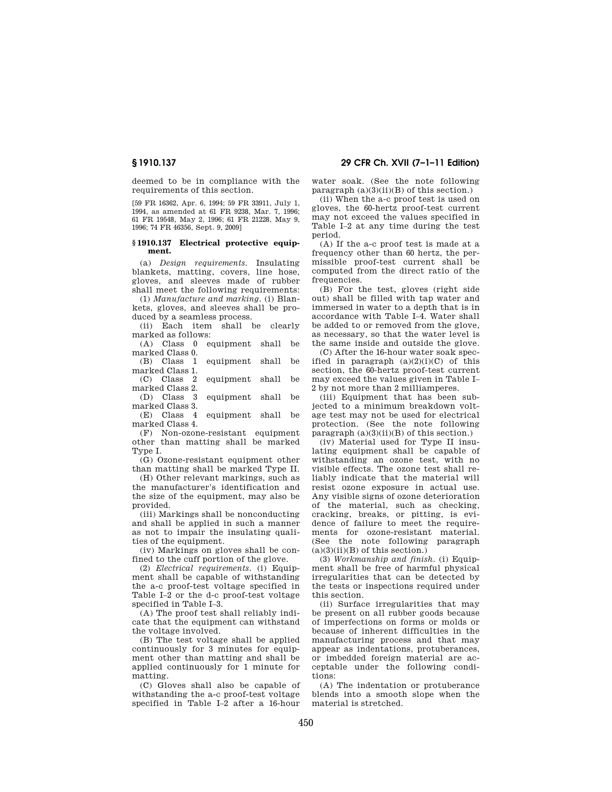deemed to be in compliance with the requirements of this section.

[59 FR 16362, Apr. 6, 1994; 59 FR 33911, July 1, 1994, as amended at 61 FR 9238, Mar. 7, 1996; 61 FR 19548, May 2, 1996; 61 FR 21228, May 9, 1996; 74 FR 46356, Sept. 9, 2009]

### **§ 1910.137 Electrical protective equipment.**

(a) *Design requirements.* Insulating blankets, matting, covers, line hose, gloves, and sleeves made of rubber shall meet the following requirements:

(1) *Manufacture and marking.* (i) Blankets, gloves, and sleeves shall be produced by a seamless process.

(ii) Each item shall be clearly marked as follows:

(A) Class 0 equipment shall be marked Class 0.

(B) Class 1 equipment shall be marked Class 1.

(C) Class 2 equipment shall be marked Class 2.<br>(D) Class 3

equipment shall be marked Class 3.<br>(E) Class 4

equipment shall be marked Class 4.

(F) Non-ozone-resistant equipment other than matting shall be marked Type I.

(G) Ozone-resistant equipment other than matting shall be marked Type II.

(H) Other relevant markings, such as the manufacturer's identification and the size of the equipment, may also be provided.

(iii) Markings shall be nonconducting and shall be applied in such a manner as not to impair the insulating qualities of the equipment.

(iv) Markings on gloves shall be confined to the cuff portion of the glove.

(2) *Electrical requirements.* (i) Equipment shall be capable of withstanding the a-c proof-test voltage specified in Table I–2 or the d-c proof-test voltage specified in Table I–3.

(A) The proof test shall reliably indicate that the equipment can withstand the voltage involved.

(B) The test voltage shall be applied continuously for 3 minutes for equipment other than matting and shall be applied continuously for 1 minute for matting.

(C) Gloves shall also be capable of withstanding the a-c proof-test voltage specified in Table I–2 after a 16-hour water soak. (See the note following paragraph  $(a)(3)(ii)(B)$  of this section.)

(ii) When the a-c proof test is used on gloves, the 60-hertz proof-test current may not exceed the values specified in Table I–2 at any time during the test period.

(A) If the a-c proof test is made at a frequency other than 60 hertz, the permissible proof-test current shall be computed from the direct ratio of the frequencies.

(B) For the test, gloves (right side out) shall be filled with tap water and immersed in water to a depth that is in accordance with Table I–4. Water shall be added to or removed from the glove, as necessary, so that the water level is the same inside and outside the glove.

(C) After the 16-hour water soak specified in paragraph  $(a)(2)(i)(C)$  of this section, the 60-hertz proof-test current may exceed the values given in Table I– 2 by not more than 2 milliamperes.

(iii) Equipment that has been subjected to a minimum breakdown voltage test may not be used for electrical protection. (See the note following paragraph  $(a)(3)(ii)(B)$  of this section.)

(iv) Material used for Type II insulating equipment shall be capable of withstanding an ozone test, with no visible effects. The ozone test shall reliably indicate that the material will resist ozone exposure in actual use. Any visible signs of ozone deterioration of the material, such as checking, cracking, breaks, or pitting, is evidence of failure to meet the requirements for ozone-resistant material. (See the note following paragraph  $(a)(3)(ii)(B)$  of this section.

(3) *Workmanship and finish.* (i) Equipment shall be free of harmful physical irregularities that can be detected by the tests or inspections required under this section.

(ii) Surface irregularities that may be present on all rubber goods because of imperfections on forms or molds or because of inherent difficulties in the manufacturing process and that may appear as indentations, protuberances, or imbedded foreign material are acceptable under the following conditions:

(A) The indentation or protuberance blends into a smooth slope when the material is stretched.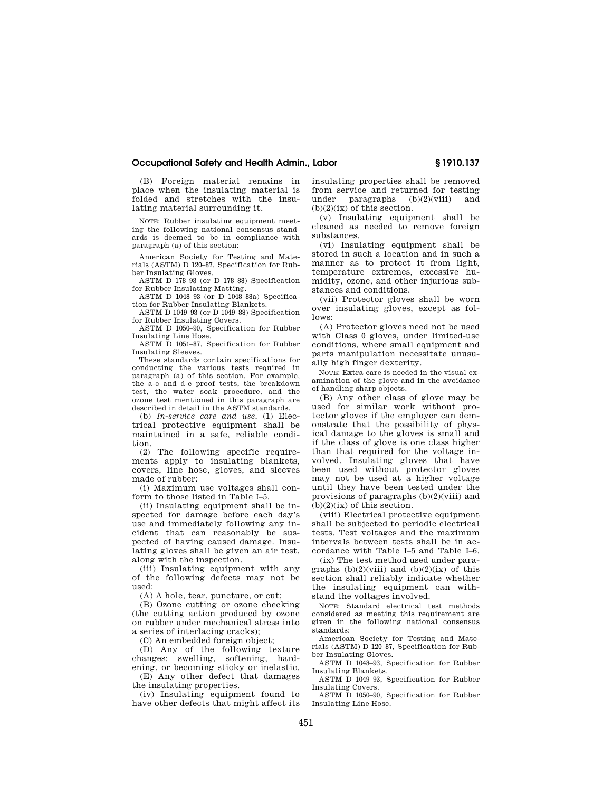(B) Foreign material remains in place when the insulating material is folded and stretches with the insulating material surrounding it.

NOTE: Rubber insulating equipment meeting the following national consensus standards is deemed to be in compliance with paragraph (a) of this section:

American Society for Testing and Materials (ASTM) D 120–87, Specification for Rubber Insulating Gloves.

ASTM D 178–93 (or D 178–88) Specification for Rubber Insulating Matting.

ASTM D 1048–93 (or D 1048–88a) Specification for Rubber Insulating Blankets.

ASTM D 1049–93 (or D 1049–88) Specification for Rubber Insulating Covers.

ASTM D 1050–90, Specification for Rubber Insulating Line Hose.

ASTM D 1051–87, Specification for Rubber Insulating Sleeves.

These standards contain specifications for conducting the various tests required in paragraph (a) of this section. For example, the a-c and d-c proof tests, the breakdown test, the water soak procedure, and the ozone test mentioned in this paragraph are described in detail in the ASTM standards.

(b) *In-service care and use.* (1) Electrical protective equipment shall be maintained in a safe, reliable condition.

(2) The following specific requirements apply to insulating blankets, covers, line hose, gloves, and sleeves made of rubber:

(i) Maximum use voltages shall conform to those listed in Table I–5.

(ii) Insulating equipment shall be inspected for damage before each day's use and immediately following any incident that can reasonably be suspected of having caused damage. Insulating gloves shall be given an air test, along with the inspection.

(iii) Insulating equipment with any of the following defects may not be used:

(A) A hole, tear, puncture, or cut;

(B) Ozone cutting or ozone checking (the cutting action produced by ozone on rubber under mechanical stress into a series of interlacing cracks);

(C) An embedded foreign object;

(D) Any of the following texture changes: swelling, softening, hardening, or becoming sticky or inelastic.

(E) Any other defect that damages the insulating properties.

(iv) Insulating equipment found to have other defects that might affect its insulating properties shall be removed from service and returned for testing under paragraphs (b)(2)(viii) and  $(b)(2)(ix)$  of this section.

(v) Insulating equipment shall be cleaned as needed to remove foreign substances.

(vi) Insulating equipment shall be stored in such a location and in such a manner as to protect it from light, temperature extremes, excessive humidity, ozone, and other injurious substances and conditions.

(vii) Protector gloves shall be worn over insulating gloves, except as follows:

(A) Protector gloves need not be used with Class 0 gloves, under limited-use conditions, where small equipment and parts manipulation necessitate unusually high finger dexterity.

NOTE: Extra care is needed in the visual examination of the glove and in the avoidance of handling sharp objects.

(B) Any other class of glove may be used for similar work without protector gloves if the employer can demonstrate that the possibility of physical damage to the gloves is small and if the class of glove is one class higher than that required for the voltage involved. Insulating gloves that have been used without protector gloves may not be used at a higher voltage until they have been tested under the provisions of paragraphs (b)(2)(viii) and  $(b)(2)(ix)$  of this section.

(viii) Electrical protective equipment shall be subjected to periodic electrical tests. Test voltages and the maximum intervals between tests shall be in accordance with Table I–5 and Table I–6.

(ix) The test method used under paragraphs  $(b)(2)(viii)$  and  $(b)(2)(ix)$  of this section shall reliably indicate whether the insulating equipment can withstand the voltages involved.

NOTE: Standard electrical test methods considered as meeting this requirement are given in the following national consensus standards:

American Society for Testing and Materials (ASTM) D 120–87, Specification for Rubber Insulating Gloves.

ASTM D 1048–93, Specification for Rubber Insulating Blankets.

ASTM D 1049–93, Specification for Rubber Insulating Covers.

ASTM D 1050–90, Specification for Rubber Insulating Line Hose.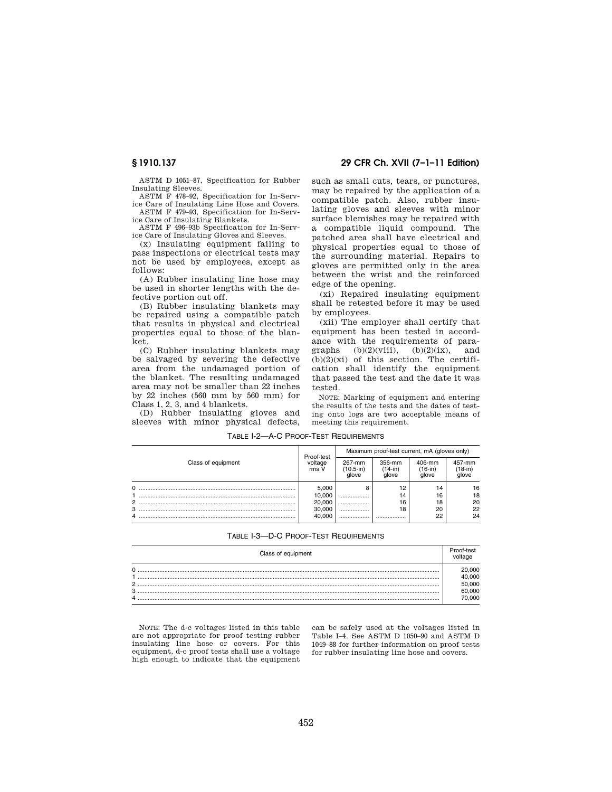**§ 1910.137 29 CFR Ch. XVII (7–1–11 Edition)** 

ASTM D 1051–87, Specification for Rubber Insulating Sleeves.

ASTM F 478–92, Specification for In-Service Care of Insulating Line Hose and Covers. ASTM F 479–93, Specification for In-Serv-

ice Care of Insulating Blankets. ASTM F 496–93b Specification for In-Serv-

ice Care of Insulating Gloves and Sleeves.

(x) Insulating equipment failing to pass inspections or electrical tests may not be used by employees, except as follows:

(A) Rubber insulating line hose may be used in shorter lengths with the defective portion cut off.

(B) Rubber insulating blankets may be repaired using a compatible patch that results in physical and electrical properties equal to those of the blanket.

(C) Rubber insulating blankets may be salvaged by severing the defective area from the undamaged portion of the blanket. The resulting undamaged area may not be smaller than 22 inches by 22 inches (560 mm by 560 mm) for Class 1, 2, 3, and 4 blankets.

(D) Rubber insulating gloves and sleeves with minor physical defects, such as small cuts, tears, or punctures, may be repaired by the application of a compatible patch. Also, rubber insulating gloves and sleeves with minor surface blemishes may be repaired with a compatible liquid compound. The patched area shall have electrical and physical properties equal to those of the surrounding material. Repairs to gloves are permitted only in the area between the wrist and the reinforced edge of the opening.

(xi) Repaired insulating equipment shall be retested before it may be used by employees.

(xii) The employer shall certify that equipment has been tested in accordance with the requirements of paragraphs  $(b)(2)(viii)$ ,  $(b)(2)(ix)$ , and  $(b)(2)(xi)$  of this section. The certification shall identify the equipment that passed the test and the date it was tested.

NOTE: Marking of equipment and entering the results of the tests and the dates of testing onto logs are two acceptable means of meeting this requirement.

TABLE I-2—A-C PROOF-TEST REQUIREMENTS

|                    | Proof-test       | Maximum proof-test current, mA (gloves only) |                            |                              |                            |  |
|--------------------|------------------|----------------------------------------------|----------------------------|------------------------------|----------------------------|--|
| Class of equipment | voltage<br>rms \ | 267-mm<br>(10.5-in)<br>alove                 | 356-mm<br>(14-in)<br>alove | 406-mm<br>$(16-in)$<br>alove | 457-mm<br>(18-in)<br>alove |  |
|                    | 5.000            |                                              | 12                         | 14                           | 16                         |  |
|                    | 10.000           |                                              | 14                         | 16                           | 18                         |  |
| 2                  | 20,000           |                                              | 16                         | 18                           | 20                         |  |
| 3                  | 30.000           |                                              | 18                         | 20                           | 22                         |  |
|                    | 40.000           |                                              |                            | 22                           | 24                         |  |

|  |  | TABLE I-3-D-C PROOF-TEST REQUIREMENTS |
|--|--|---------------------------------------|
|--|--|---------------------------------------|

| Class of equipment |                                            |
|--------------------|--------------------------------------------|
| ◠<br>ີ             | ,000<br>40,000<br>50,000<br>60,000<br>7000 |

NOTE: The d-c voltages listed in this table are not appropriate for proof testing rubber insulating line hose or covers. For this equipment, d-c proof tests shall use a voltage high enough to indicate that the equipment

can be safely used at the voltages listed in Table I–4. See ASTM D 1050–90 and ASTM D 1049–88 for further information on proof tests for rubber insulating line hose and covers.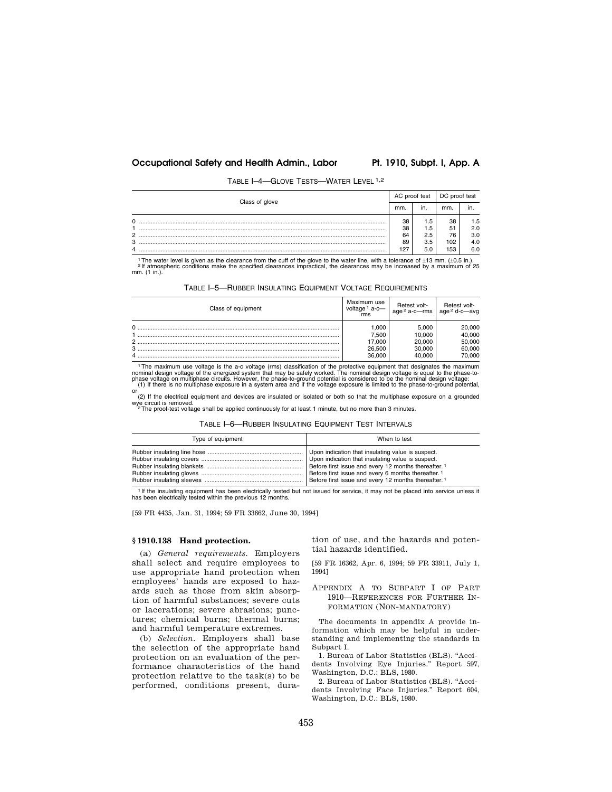# Occupational Safety and Health Admin., Labor Pt. 1910, Subpt. I, App. A

TABLE I–4—GLOVE TESTS—WATER LEVEL 1,2

| Class of glove       | AC proof test               |                                 | DC proof test                |                                 |
|----------------------|-----------------------------|---------------------------------|------------------------------|---------------------------------|
|                      | mm.                         | in.                             | mm.                          | ın.                             |
| $\sim$<br>$\sqrt{2}$ | 38<br>38<br>64<br>89<br>127 | l.5<br>1.5<br>2.5<br>3.5<br>5.0 | 38<br>51<br>76<br>102<br>153 | 1.5<br>2.0<br>3.0<br>4.0<br>6.0 |

<sup>1</sup>The water level is given as the clearance from the cuff of the glove to the water line, with a tolerance of ±13 mm. (±0.5 in.).<br><sup>2</sup>If atmospheric conditions make the specified clearances impractical, the clearances may mm. (1 in.).

| Table I—5—Rubber Insulating Equipment Voltage Requirements |  |
|------------------------------------------------------------|--|
|------------------------------------------------------------|--|

| Class of equipment | Maximum use<br>а-с—<br>rms                 | Retest volt-<br>age <sup>2</sup> a-c-rms      | Retest volt-<br>age <sup>2</sup> d-c-avg       |
|--------------------|--------------------------------------------|-----------------------------------------------|------------------------------------------------|
| $\circ$<br>3       | .000<br>7.500<br>7.000<br>26.500<br>36.000 | 5.000<br>10.000<br>20.000<br>30,000<br>40.00C | 20.000<br>40.000<br>50.000<br>60,000<br>70.000 |

<sup>1</sup>The maximum use voltage is the a-c voltage (rms) classification of the protective equipment that designates the maximum nominal design voltage of the energized system that may be safely worked. The nominal design voltag or

wye circuit is removed.<br>
<sup>2</sup>The proof-test voltage shall be applied continuously for at least 1 minute, but no more than 3 minutes.

TABLE I–6—RUBBER INSULATING EQUIPMENT TEST INTERVALS

| Type of equipment | When to test                                                                                                                                                                                         |
|-------------------|------------------------------------------------------------------------------------------------------------------------------------------------------------------------------------------------------|
|                   | Before first issue and every 12 months thereafter. <sup>1</sup><br>Before first issue and every 6 months thereafter. <sup>1</sup><br>Before first issue and every 12 months thereafter. <sup>1</sup> |

1 If the insulating equipment has been electrically tested but not issued for service, it may not be placed into service unless it has been electrically tested within the previous 12 months.

[59 FR 4435, Jan. 31, 1994; 59 FR 33662, June 30, 1994]

### **§ 1910.138 Hand protection.**

(a) *General requirements.* Employers shall select and require employees to use appropriate hand protection when employees' hands are exposed to hazards such as those from skin absorption of harmful substances; severe cuts or lacerations; severe abrasions; punctures; chemical burns; thermal burns; and harmful temperature extremes.

(b) *Selection.* Employers shall base the selection of the appropriate hand protection on an evaluation of the performance characteristics of the hand protection relative to the task(s) to be performed, conditions present, duration of use, and the hazards and potential hazards identified.

[59 FR 16362, Apr. 6, 1994; 59 FR 33911, July 1, 1994]

APPENDIX A TO SUBPART I OF PART 1910—REFERENCES FOR FURTHER IN-FORMATION (NON-MANDATORY)

The documents in appendix A provide information which may be helpful in understanding and implementing the standards in Subpart I.

1. Bureau of Labor Statistics (BLS). ''Accidents Involving Eye Injuries.'' Report 597, Washington, D.C.: BLS, 1980.

2. Bureau of Labor Statistics (BLS). ''Accidents Involving Face Injuries.'' Report 604, Washington, D.C.: BLS, 1980.

<sup>(2)</sup> If the electrical equipment and devices are insulated or isolated or both so that the multiphase exposure on a grounded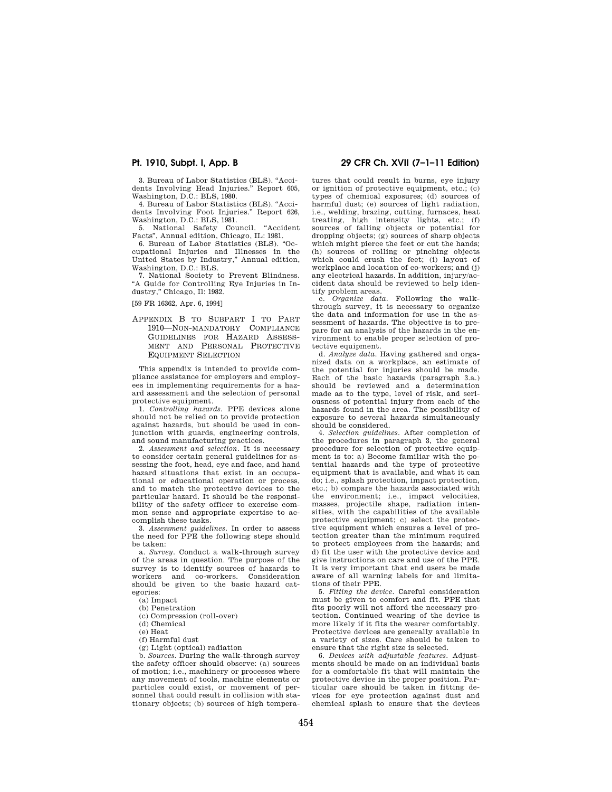3. Bureau of Labor Statistics (BLS). ''Accidents Involving Head Injuries.'' Report 605, Washington, D.C.: BLS, 1980.

4. Bureau of Labor Statistics (BLS). ''Accidents Involving Foot Injuries.'' Report 626, Washington, D.C.: BLS, 1981.

5. National Safety Council. ''Accident Facts'', Annual edition, Chicago, IL: 1981.

6. Bureau of Labor Statistics (BLS). ''Oc-cupational Injuries and Illnesses in the United States by Industry,'' Annual edition, Washington, D.C.: BLS.

7. National Society to Prevent Blindness. ''A Guide for Controlling Eye Injuries in Industry,'' Chicago, Il: 1982.

[59 FR 16362, Apr. 6, 1994]

APPENDIX B TO SUBPART I TO PART 1910—NON-MANDATORY COMPLIANCE GUIDELINES FOR HAZARD ASSESS-MENT AND PERSONAL PROTECTIVE EQUIPMENT SELECTION

This appendix is intended to provide compliance assistance for employers and employees in implementing requirements for a hazard assessment and the selection of personal protective equipment.

1. *Controlling hazards.* PPE devices alone should not be relied on to provide protection against hazards, but should be used in conjunction with guards, engineering controls, and sound manufacturing practices.

2. *Assessment and selection.* It is necessary to consider certain general guidelines for assessing the foot, head, eye and face, and hand hazard situations that exist in an occupational or educational operation or process, and to match the protective devices to the particular hazard. It should be the responsibility of the safety officer to exercise common sense and appropriate expertise to accomplish these tasks.

3. *Assessment guidelines.* In order to assess the need for PPE the following steps should be taken:

a. *Survey.* Conduct a walk-through survey of the areas in question. The purpose of the survey is to identify sources of hazards to workers and co-workers. Consideration should be given to the basic hazard categories:

- (a) Impact
- (b) Penetration
- (c) Compression (roll-over)

(d) Chemical

(e) Heat

(f) Harmful dust

(g) Light (optical) radiation

b. *Sources.* During the walk-through survey the safety officer should observe: (a) sources of motion; i.e., machinery or processes where any movement of tools, machine elements or particles could exist, or movement of personnel that could result in collision with stationary objects; (b) sources of high tempera-

**Pt. 1910, Subpt. I, App. B 29 CFR Ch. XVII (7–1–11 Edition)** 

tures that could result in burns, eye injury or ignition of protective equipment, etc.; (c) types of chemical exposures; (d) sources of harmful dust; (e) sources of light radiation, i.e., welding, brazing, cutting, furnaces, heat treating, high intensity lights, etc.; (f) sources of falling objects or potential for dropping objects; (g) sources of sharp objects which might pierce the feet or cut the hands; (h) sources of rolling or pinching objects which could crush the feet; (i) layout of workplace and location of co-workers; and (j) any electrical hazards. In addition, injury/accident data should be reviewed to help identify problem areas.

c. *Organize data.* Following the walkthrough survey, it is necessary to organize the data and information for use in the assessment of hazards. The objective is to prepare for an analysis of the hazards in the environment to enable proper selection of protective equipment.

d. *Analyze data.* Having gathered and organized data on a workplace, an estimate of the potential for injuries should be made. Each of the basic hazards (paragraph 3.a.) should be reviewed and a determination made as to the type, level of risk, and seriousness of potential injury from each of the hazards found in the area. The possibility of exposure to several hazards simultaneously should be considered.

4. *Selection guidelines.* After completion of the procedures in paragraph 3, the general procedure for selection of protective equipment is to: a) Become familiar with the potential hazards and the type of protective equipment that is available, and what it can do; i.e., splash protection, impact protection, etc.; b) compare the hazards associated with the environment; i.e., impact velocities, masses, projectile shape, radiation intensities, with the capabilities of the available protective equipment; c) select the protective equipment which ensures a level of protection greater than the minimum required to protect employees from the hazards; and d) fit the user with the protective device and give instructions on care and use of the PPE. It is very important that end users be made aware of all warning labels for and limitations of their PPE.

5. *Fitting the device.* Careful consideration must be given to comfort and fit. PPE that fits poorly will not afford the necessary protection. Continued wearing of the device is more likely if it fits the wearer comfortably. Protective devices are generally available in a variety of sizes. Care should be taken to ensure that the right size is selected.

6. *Devices with adjustable features.* Adjustments should be made on an individual basis for a comfortable fit that will maintain the protective device in the proper position. Particular care should be taken in fitting devices for eye protection against dust and chemical splash to ensure that the devices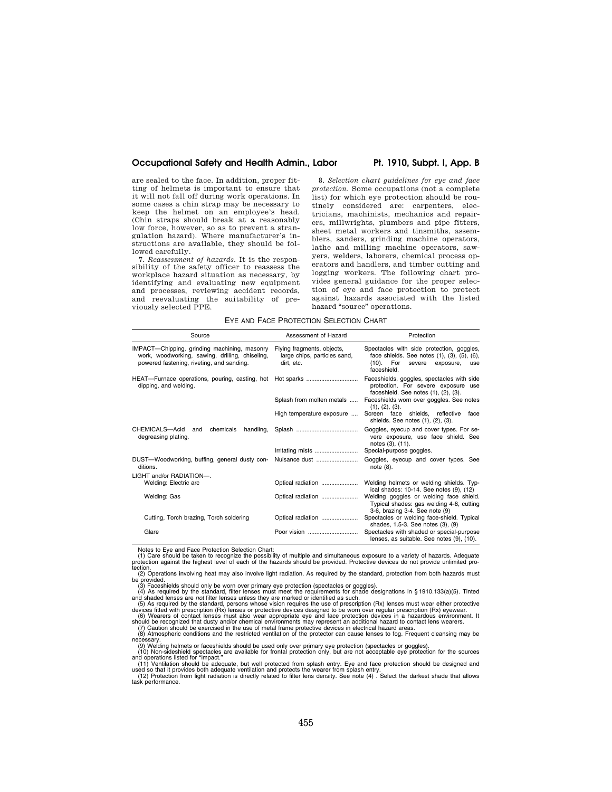### **Occupational Safety and Health Admin., Labor Pt. 1910, Subpt. I, App. B**

are sealed to the face. In addition, proper fitting of helmets is important to ensure that it will not fall off during work operations. In some cases a chin strap may be necessary to keep the helmet on an employee's head. (Chin straps should break at a reasonably low force, however, so as to prevent a strangulation hazard). Where manufacturer's instructions are available, they should be followed carefully.

7. *Reassessment of hazards.* It is the responsibility of the safety officer to reassess the workplace hazard situation as necessary, by identifying and evaluating new equipment and processes, reviewing accident records, and reevaluating the suitability of previously selected PPE.

8. *Selection chart guidelines for eye and face protection.* Some occupations (not a complete list) for which eye protection should be routinely considered are: carpenters, electricians, machinists, mechanics and repairers, millwrights, plumbers and pipe fitters, sheet metal workers and tinsmiths, assemblers, sanders, grinding machine operators, lathe and milling machine operators, sawyers, welders, laborers, chemical process operators and handlers, and timber cutting and logging workers. The following chart provides general guidance for the proper selection of eye and face protection to protect against hazards associated with the listed hazard "source" operations.

### EYE AND FACE PROTECTION SELECTION CHART

| Source                                                                                                                                       | Assessment of Hazard                                                     | Protection                                                                                                                                   |
|----------------------------------------------------------------------------------------------------------------------------------------------|--------------------------------------------------------------------------|----------------------------------------------------------------------------------------------------------------------------------------------|
| IMPACT-Chipping, grinding machining, masonry<br>work, woodworking, sawing, drilling, chiseling,<br>powered fastening, riveting, and sanding. | Flying fragments, objects,<br>large chips, particles sand,<br>dirt. etc. | Spectacles with side protection, goggles,<br>face shields. See notes (1), (3), (5), (6),<br>(10). For severe exposure,<br>use<br>faceshield. |
| dipping, and welding.                                                                                                                        |                                                                          | Faceshields, goggles, spectacles with side<br>protection. For severe exposure use<br>faceshield. See notes $(1)$ , $(2)$ , $(3)$ .           |
|                                                                                                                                              | Splash from molten metals                                                | Faceshields worn over goggles. See notes<br>(1), (2), (3).                                                                                   |
|                                                                                                                                              | High temperature exposure                                                | Screen face shields, reflective<br>face<br>shields. See notes (1), (2), (3).                                                                 |
| CHEMICALS-Acid and<br>chemicals<br>handling,<br>degreasing plating.                                                                          |                                                                          | Goggles, eyecup and cover types. For se-<br>vere exposure, use face shield. See<br>notes (3), (11).                                          |
|                                                                                                                                              | Irritating mists                                                         | Special-purpose goggles.                                                                                                                     |
| DUST-Woodworking, buffing, general dusty con-<br>ditions.                                                                                    | Nuisance dust                                                            | Goggles, eyecup and cover types. See<br>note $(8)$ .                                                                                         |
| LIGHT and/or RADIATION-                                                                                                                      |                                                                          |                                                                                                                                              |
| Welding: Electric arc                                                                                                                        |                                                                          | Welding helmets or welding shields. Typ-<br>ical shades: 10-14. See notes (9), (12)                                                          |
| Welding: Gas                                                                                                                                 | Optical radiation                                                        | Welding goggles or welding face shield.<br>Typical shades: gas welding 4-8, cutting<br>3-6, brazing 3-4. See note (9)                        |
| Cutting, Torch brazing, Torch soldering                                                                                                      | Optical radiation                                                        | Spectacles or welding face-shield. Typical<br>shades, 1.5-3. See notes (3), (9)                                                              |
| Glare                                                                                                                                        | Poor vision                                                              | Spectacles with shaded or special-purpose<br>lenses, as suitable. See notes (9), (10).                                                       |

Notes to Eye and Face Protection Selection Chart:

(1) Care should be taken to recognize the possibility of multiple and simultaneous exposure to a variety of hazards. Adequate<br>otection against the highest level of each of the hazards should be provided. Protective devices

tection.<br>(2) Operations involving heat may also involve light radiation. As required by the standard, protection from both hazards must<br>he provided

be provided.<br>
(3) Faceshields should only be worn over primary eye protection (spectacles or goggles).<br>
(3) Faceshields should only be worn over primary eye protection (spectacles or goggles).<br>
(4) As required by the stand

necessary.<br>
(9) Welding helmets or faceshields should be used only over primary eye protection (spectacles or goggles).<br>
(9) Non-sideshield spectacles are available for frontal protection only, but are not acceptable eye p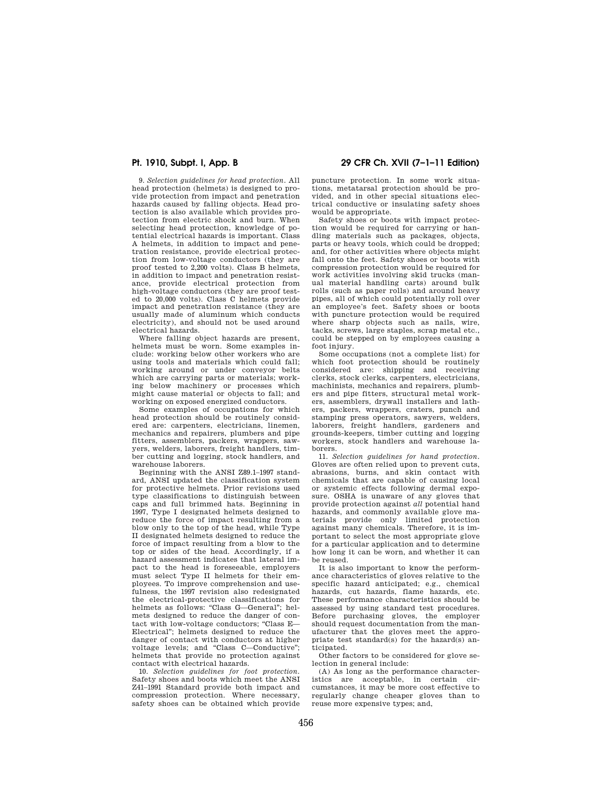9. *Selection guidelines for head protection.* All head protection (helmets) is designed to provide protection from impact and penetration hazards caused by falling objects. Head protection is also available which provides protection from electric shock and burn. When selecting head protection, knowledge of potential electrical hazards is important. Class A helmets, in addition to impact and penetration resistance, provide electrical protection from low-voltage conductors (they are proof tested to 2,200 volts). Class B helmets, in addition to impact and penetration resistance, provide electrical protection from high-voltage conductors (they are proof tested to 20,000 volts). Class C helmets provide impact and penetration resistance (they are usually made of aluminum which conducts electricity), and should not be used around electrical hazards.

Where falling object hazards are present, helmets must be worn. Some examples include: working below other workers who are using tools and materials which could fall; working around or under conveyor belts which are carrying parts or materials; working below machinery or processes which might cause material or objects to fall; and working on exposed energized conductors.

Some examples of occupations for which head protection should be routinely considered are: carpenters, electricians, linemen, mechanics and repairers, plumbers and pipe fitters, assemblers, packers, wrappers, sawyers, welders, laborers, freight handlers, timber cutting and logging, stock handlers, and warehouse laborers.

Beginning with the ANSI Z89.1–1997 standard, ANSI updated the classification system for protective helmets. Prior revisions used type classifications to distinguish between caps and full brimmed hats. Beginning in 1997, Type I designated helmets designed to reduce the force of impact resulting from a blow only to the top of the head, while Type II designated helmets designed to reduce the force of impact resulting from a blow to the top or sides of the head. Accordingly, if a hazard assessment indicates that lateral impact to the head is foreseeable, employers must select Type II helmets for their employees. To improve comprehension and usefulness, the 1997 revision also redesignated the electrical-protective classifications for helmets as follows: "Class G-General"; helmets designed to reduce the danger of contact with low-voltage conductors; ''Class E— Electrical''; helmets designed to reduce the danger of contact with conductors at higher voltage levels; and ''Class C—Conductive''; helmets that provide no protection against contact with electrical hazards.

10. *Selection guidelines for foot protection.*  Safety shoes and boots which meet the ANSI Z41–1991 Standard provide both impact and compression protection. Where necessary, safety shoes can be obtained which provide

# **Pt. 1910, Subpt. I, App. B 29 CFR Ch. XVII (7–1–11 Edition)**

puncture protection. In some work situations, metatarsal protection should be provided, and in other special situations electrical conductive or insulating safety shoes would be appropriate.

Safety shoes or boots with impact protection would be required for carrying or handling materials such as packages, objects, parts or heavy tools, which could be dropped; and, for other activities where objects might fall onto the feet. Safety shoes or boots with compression protection would be required for work activities involving skid trucks (manual material handling carts) around bulk rolls (such as paper rolls) and around heavy pipes, all of which could potentially roll over an employee's feet. Safety shoes or boots with puncture protection would be required where sharp objects such as nails, wire, tacks, screws, large staples, scrap metal etc., could be stepped on by employees causing a foot injury.

Some occupations (not a complete list) for which foot protection should be routinely considered are: shipping and receiving clerks, stock clerks, carpenters, electricians, machinists, mechanics and repairers, plumbers and pipe fitters, structural metal workers, assemblers, drywall installers and lathers, packers, wrappers, craters, punch and stamping press operators, sawyers, welders, laborers, freight handlers, gardeners and grounds-keepers, timber cutting and logging workers, stock handlers and warehouse laborers.

11. *Selection guidelines for hand protection.*  Gloves are often relied upon to prevent cuts, abrasions, burns, and skin contact with chemicals that are capable of causing local or systemic effects following dermal exposure. OSHA is unaware of any gloves that provide protection against *all* potential hand hazards, and commonly available glove materials provide only limited protection against many chemicals. Therefore, it is important to select the most appropriate glove for a particular application and to determine how long it can be worn, and whether it can be reused.

It is also important to know the performance characteristics of gloves relative to the specific hazard anticipated; e.g., chemical hazards, cut hazards, flame hazards, etc. These performance characteristics should be assessed by using standard test procedures. Before purchasing gloves, the employer should request documentation from the manufacturer that the gloves meet the appropriate test standard(s) for the hazard(s) anticipated.

Other factors to be considered for glove selection in general include:

(A) As long as the performance characteristics are acceptable, in certain circumstances, it may be more cost effective to regularly change cheaper gloves than to reuse more expensive types; and,